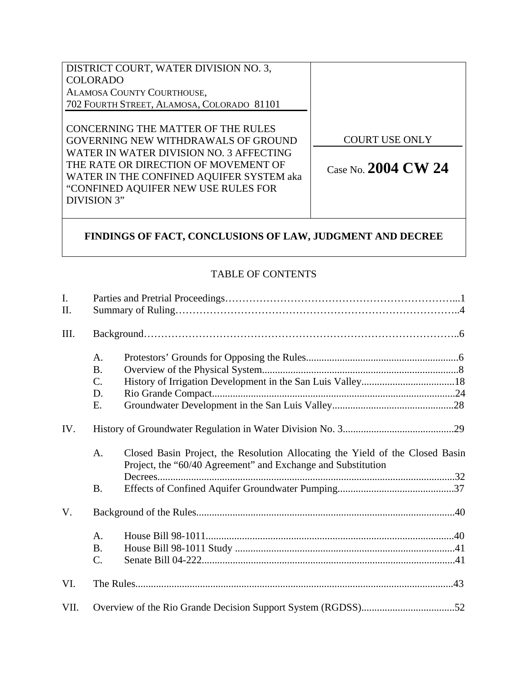| DISTRICT COURT, WATER DIVISION NO. 3,      |                       |
|--------------------------------------------|-----------------------|
| <b>COLORADO</b>                            |                       |
| ALAMOSA COUNTY COURTHOUSE,                 |                       |
| 702 FOURTH STREET, ALAMOSA, COLORADO 81101 |                       |
|                                            |                       |
| CONCERNING THE MATTER OF THE RULES         |                       |
| GOVERNING NEW WITHDRAWALS OF GROUND        | <b>COURT USE ONLY</b> |
| WATER IN WATER DIVISION NO. 3 AFFECTING    |                       |
| THE RATE OR DIRECTION OF MOVEMENT OF       | Case No. $2004$ CW 24 |
| WATER IN THE CONFINED AQUIFER SYSTEM aka   |                       |
| "CONFINED AQUIFER NEW USE RULES FOR        |                       |
| DIVISION 3"                                |                       |
|                                            |                       |

# **FINDINGS OF FACT, CONCLUSIONS OF LAW, JUDGMENT AND DECREE**

## TABLE OF CONTENTS

| I.<br>II. |                 |                                                                                                                                               |  |  |  |
|-----------|-----------------|-----------------------------------------------------------------------------------------------------------------------------------------------|--|--|--|
| III.      |                 |                                                                                                                                               |  |  |  |
|           | A.              |                                                                                                                                               |  |  |  |
|           | <b>B.</b>       |                                                                                                                                               |  |  |  |
|           | $\mathcal{C}$ . |                                                                                                                                               |  |  |  |
|           | D.              |                                                                                                                                               |  |  |  |
|           | Ε.              |                                                                                                                                               |  |  |  |
| IV.       |                 |                                                                                                                                               |  |  |  |
|           | A.              | Closed Basin Project, the Resolution Allocating the Yield of the Closed Basin<br>Project, the "60/40 Agreement" and Exchange and Substitution |  |  |  |
|           | <b>B.</b>       |                                                                                                                                               |  |  |  |
| V.        |                 |                                                                                                                                               |  |  |  |
|           | A.              |                                                                                                                                               |  |  |  |
|           | <b>B.</b>       |                                                                                                                                               |  |  |  |
|           | $\mathcal{C}$ . |                                                                                                                                               |  |  |  |
| VI.       |                 |                                                                                                                                               |  |  |  |
| VII.      |                 |                                                                                                                                               |  |  |  |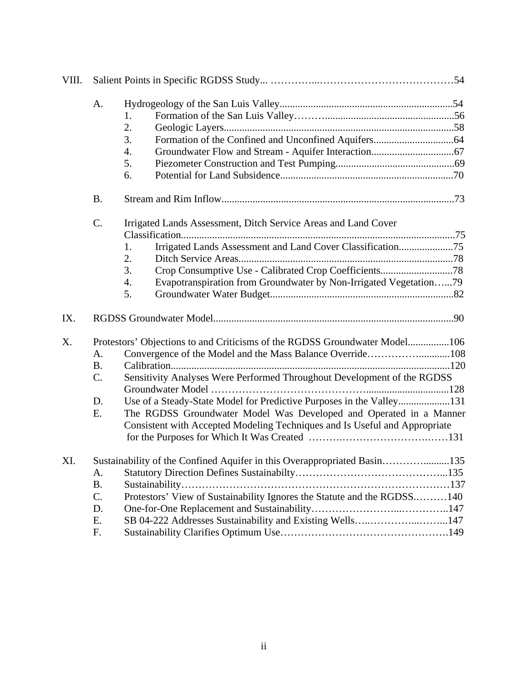| VIII. |                                                                      |                                                                            |  |
|-------|----------------------------------------------------------------------|----------------------------------------------------------------------------|--|
|       | A.                                                                   |                                                                            |  |
|       |                                                                      | 1.                                                                         |  |
|       |                                                                      | 2.                                                                         |  |
|       |                                                                      | 3.                                                                         |  |
|       |                                                                      | 4.                                                                         |  |
|       |                                                                      | 5.                                                                         |  |
|       |                                                                      | 6.                                                                         |  |
|       | <b>B.</b>                                                            |                                                                            |  |
|       | C.<br>Irrigated Lands Assessment, Ditch Service Areas and Land Cover |                                                                            |  |
|       |                                                                      |                                                                            |  |
|       |                                                                      | Irrigated Lands Assessment and Land Cover Classification75<br>1.           |  |
|       |                                                                      | 2.                                                                         |  |
|       |                                                                      | 3.                                                                         |  |
|       |                                                                      | Evapotranspiration from Groundwater by Non-Irrigated Vegetation79<br>4.    |  |
|       |                                                                      | 5.                                                                         |  |
| IX.   |                                                                      |                                                                            |  |
| Χ.    |                                                                      | Protestors' Objections to and Criticisms of the RGDSS Groundwater Model106 |  |
|       | A.                                                                   | Convergence of the Model and the Mass Balance Override108                  |  |
|       | <b>B.</b>                                                            |                                                                            |  |
|       | $C$ .                                                                | Sensitivity Analyses Were Performed Throughout Development of the RGDSS    |  |
|       |                                                                      |                                                                            |  |
|       | D.                                                                   | Use of a Steady-State Model for Predictive Purposes in the Valley131       |  |
|       | Ε.                                                                   | The RGDSS Groundwater Model Was Developed and Operated in a Manner         |  |
|       |                                                                      | Consistent with Accepted Modeling Techniques and Is Useful and Appropriate |  |
|       |                                                                      |                                                                            |  |
| XI.   |                                                                      | Sustainability of the Confined Aquifer in this Overappropriated Basin135   |  |
|       | A.                                                                   |                                                                            |  |
|       | <b>B.</b>                                                            |                                                                            |  |
|       | C.                                                                   | Protestors' View of Sustainability Ignores the Statute and the RGDSS140    |  |
|       | D.                                                                   |                                                                            |  |
|       | Ε.                                                                   | SB 04-222 Addresses Sustainability and Existing Wells147                   |  |
|       | F.                                                                   |                                                                            |  |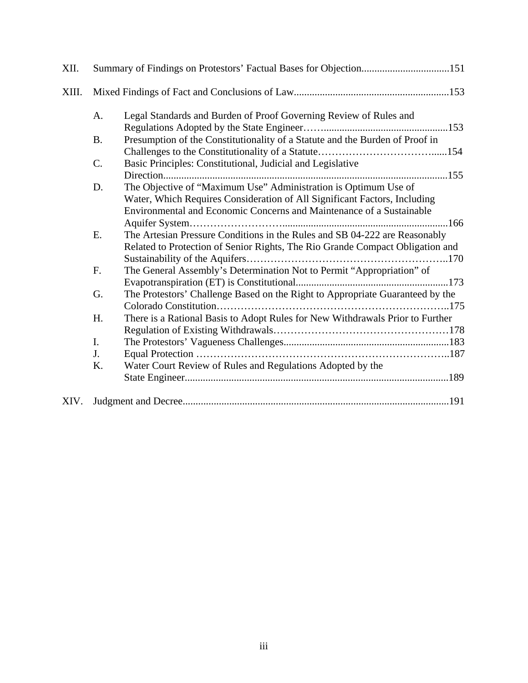| XII.  |           | Summary of Findings on Protestors' Factual Bases for Objection151             |
|-------|-----------|-------------------------------------------------------------------------------|
| XIII. |           |                                                                               |
|       | A.        | Legal Standards and Burden of Proof Governing Review of Rules and             |
|       |           |                                                                               |
|       | <b>B.</b> | Presumption of the Constitutionality of a Statute and the Burden of Proof in  |
|       |           |                                                                               |
|       | C.        | Basic Principles: Constitutional, Judicial and Legislative                    |
|       |           |                                                                               |
|       | D.        | The Objective of "Maximum Use" Administration is Optimum Use of               |
|       |           | Water, Which Requires Consideration of All Significant Factors, Including     |
|       |           | Environmental and Economic Concerns and Maintenance of a Sustainable          |
|       |           |                                                                               |
|       | E.        | The Artesian Pressure Conditions in the Rules and SB 04-222 are Reasonably    |
|       |           | Related to Protection of Senior Rights, The Rio Grande Compact Obligation and |
|       |           |                                                                               |
|       | F.        | The General Assembly's Determination Not to Permit "Appropriation" of         |
|       |           |                                                                               |
|       | G.        | The Protestors' Challenge Based on the Right to Appropriate Guaranteed by the |
|       |           |                                                                               |
|       | H.        | There is a Rational Basis to Adopt Rules for New Withdrawals Prior to Further |
|       |           |                                                                               |
|       | I.        |                                                                               |
|       | J.        |                                                                               |
|       | K.        | Water Court Review of Rules and Regulations Adopted by the                    |
|       |           |                                                                               |
|       |           |                                                                               |
| XIV.  |           |                                                                               |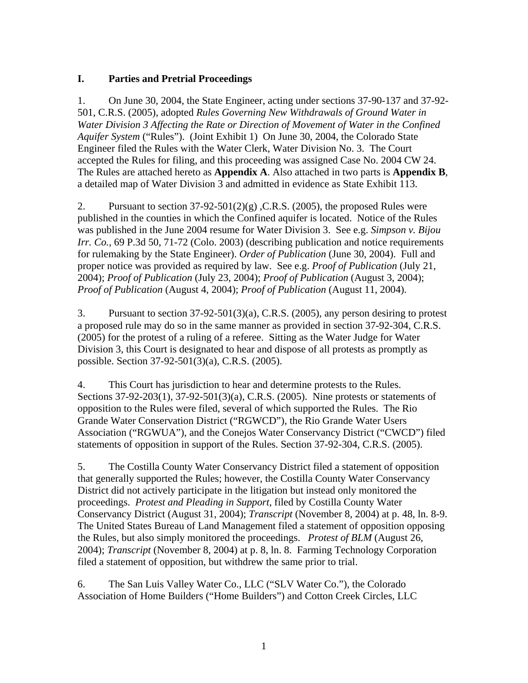## **I. Parties and Pretrial Proceedings**

1. On June 30, 2004, the State Engineer, acting under sections 37-90-137 and 37-92- 501, C.R.S. (2005), adopted *Rules Governing New Withdrawals of Ground Water in Water Division 3 Affecting the Rate or Direction of Movement of Water in the Confined Aquifer System* ("Rules"). (Joint Exhibit 1) On June 30, 2004, the Colorado State Engineer filed the Rules with the Water Clerk, Water Division No. 3. The Court accepted the Rules for filing, and this proceeding was assigned Case No. 2004 CW 24. The Rules are attached hereto as **Appendix A**. Also attached in two parts is **Appendix B**, a detailed map of Water Division 3 and admitted in evidence as State Exhibit 113.

2. Pursuant to section  $37-92-501(2)(g)$ , C.R.S. (2005), the proposed Rules were published in the counties in which the Confined aquifer is located. Notice of the Rules was published in the June 2004 resume for Water Division 3. See e.g. *Simpson v. Bijou Irr. Co.*, 69 P.3d 50, 71-72 (Colo. 2003) (describing publication and notice requirements for rulemaking by the State Engineer). *Order of Publication* (June 30, 2004). Full and proper notice was provided as required by law. See e.g. *Proof of Publication* (July 21, 2004); *Proof of Publication* (July 23, 2004); *Proof of Publication* (August 3, 2004); *Proof of Publication* (August 4, 2004); *Proof of Publication* (August 11, 2004).

3. Pursuant to section 37-92-501(3)(a), C.R.S. (2005), any person desiring to protest a proposed rule may do so in the same manner as provided in section 37-92-304, C.R.S. (2005) for the protest of a ruling of a referee. Sitting as the Water Judge for Water Division 3, this Court is designated to hear and dispose of all protests as promptly as possible. Section 37-92-501(3)(a), C.R.S. (2005).

4. This Court has jurisdiction to hear and determine protests to the Rules. Sections 37-92-203(1), 37-92-501(3)(a), C.R.S. (2005). Nine protests or statements of opposition to the Rules were filed, several of which supported the Rules. The Rio Grande Water Conservation District ("RGWCD"), the Rio Grande Water Users Association ("RGWUA"), and the Conejos Water Conservancy District ("CWCD") filed statements of opposition in support of the Rules. Section 37-92-304, C.R.S. (2005).

5. The Costilla County Water Conservancy District filed a statement of opposition that generally supported the Rules; however, the Costilla County Water Conservancy District did not actively participate in the litigation but instead only monitored the proceedings. *Protest and Pleading in Support*, filed by Costilla County Water Conservancy District (August 31, 2004); *Transcript* (November 8, 2004) at p. 48, ln. 8-9. The United States Bureau of Land Management filed a statement of opposition opposing the Rules, but also simply monitored the proceedings. *Protest of BLM* (August 26, 2004); *Transcript* (November 8, 2004) at p. 8, ln. 8. Farming Technology Corporation filed a statement of opposition, but withdrew the same prior to trial.

6. The San Luis Valley Water Co., LLC ("SLV Water Co."), the Colorado Association of Home Builders ("Home Builders") and Cotton Creek Circles, LLC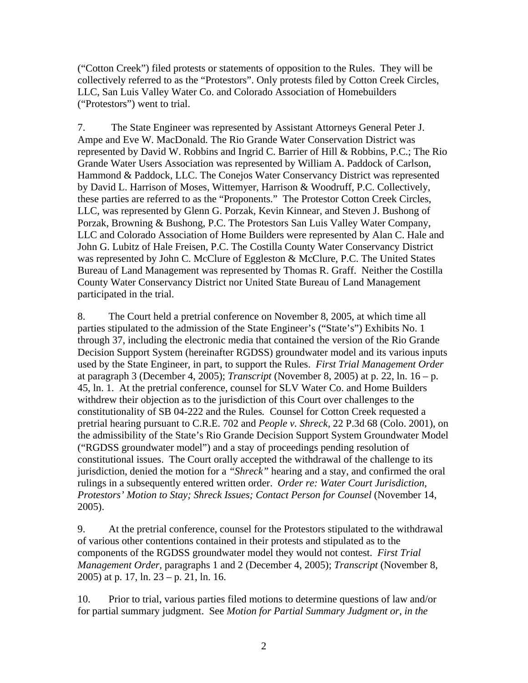("Cotton Creek") filed protests or statements of opposition to the Rules. They will be collectively referred to as the "Protestors". Only protests filed by Cotton Creek Circles, LLC, San Luis Valley Water Co. and Colorado Association of Homebuilders ("Protestors") went to trial.

7. The State Engineer was represented by Assistant Attorneys General Peter J. Ampe and Eve W. MacDonald. The Rio Grande Water Conservation District was represented by David W. Robbins and Ingrid C. Barrier of Hill & Robbins, P.C.; The Rio Grande Water Users Association was represented by William A. Paddock of Carlson, Hammond & Paddock, LLC. The Conejos Water Conservancy District was represented by David L. Harrison of Moses, Wittemyer, Harrison & Woodruff, P.C. Collectively, these parties are referred to as the "Proponents." The Protestor Cotton Creek Circles, LLC, was represented by Glenn G. Porzak, Kevin Kinnear, and Steven J. Bushong of Porzak, Browning & Bushong, P.C. The Protestors San Luis Valley Water Company, LLC and Colorado Association of Home Builders were represented by Alan C. Hale and John G. Lubitz of Hale Freisen, P.C. The Costilla County Water Conservancy District was represented by John C. McClure of Eggleston & McClure, P.C. The United States Bureau of Land Management was represented by Thomas R. Graff. Neither the Costilla County Water Conservancy District nor United State Bureau of Land Management participated in the trial.

8. The Court held a pretrial conference on November 8, 2005, at which time all parties stipulated to the admission of the State Engineer's ("State's") Exhibits No. 1 through 37, including the electronic media that contained the version of the Rio Grande Decision Support System (hereinafter RGDSS) groundwater model and its various inputs used by the State Engineer, in part, to support the Rules. *First Trial Management Order* at paragraph 3 (December 4, 2005); *Transcript* (November 8, 2005) at p. 22, ln. 16 – p. 45, ln. 1. At the pretrial conference, counsel for SLV Water Co. and Home Builders withdrew their objection as to the jurisdiction of this Court over challenges to the constitutionality of SB 04-222 and the Rules*.* Counsel for Cotton Creek requested a pretrial hearing pursuant to C.R.E. 702 and *People v. Shreck,* 22 P.3d 68 (Colo. 2001), on the admissibility of the State's Rio Grande Decision Support System Groundwater Model ("RGDSS groundwater model") and a stay of proceedings pending resolution of constitutional issues. The Court orally accepted the withdrawal of the challenge to its jurisdiction, denied the motion for a *"Shreck"* hearing and a stay, and confirmed the oral rulings in a subsequently entered written order. *Order re: Water Court Jurisdiction, Protestors' Motion to Stay; Shreck Issues; Contact Person for Counsel* (November 14, 2005).

9. At the pretrial conference, counsel for the Protestors stipulated to the withdrawal of various other contentions contained in their protests and stipulated as to the components of the RGDSS groundwater model they would not contest. *First Trial Management Order*, paragraphs 1 and 2 (December 4, 2005); *Transcript* (November 8, 2005) at p. 17, ln. 23 – p. 21, ln. 16.

10. Prior to trial, various parties filed motions to determine questions of law and/or for partial summary judgment. See *Motion for Partial Summary Judgment or, in the*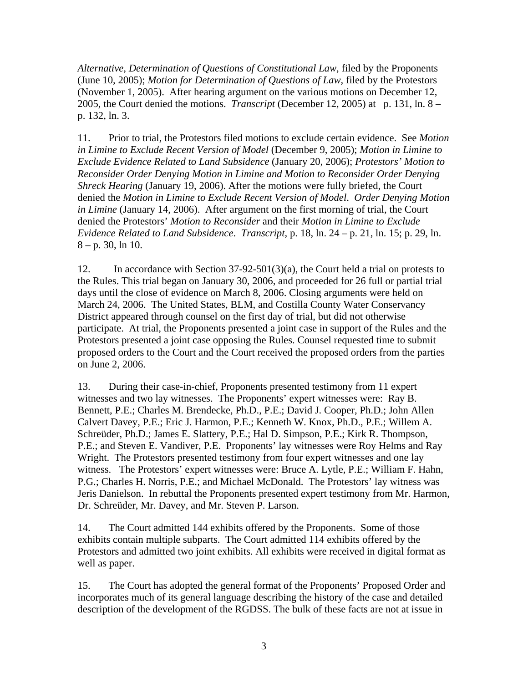*Alternative, Determination of Questions of Constitutional Law*, filed by the Proponents (June 10, 2005); *Motion for Determination of Questions of Law*, filed by the Protestors (November 1, 2005). After hearing argument on the various motions on December 12, 2005, the Court denied the motions. *Transcript* (December 12, 2005) at p. 131, ln. 8 – p. 132, ln. 3.

11. Prior to trial, the Protestors filed motions to exclude certain evidence. See *Motion in Limine to Exclude Recent Version of Model* (December 9, 2005); *Motion in Limine to Exclude Evidence Related to Land Subsidence* (January 20, 2006); *Protestors' Motion to Reconsider Order Denying Motion in Limine and Motion to Reconsider Order Denying Shreck Hearing* (January 19, 2006). After the motions were fully briefed, the Court denied the *Motion in Limine to Exclude Recent Version of Model*. *Order Denying Motion in Limine* (January 14, 2006). After argument on the first morning of trial, the Court denied the Protestors' *Motion to Reconsider* and their *Motion in Limine to Exclude Evidence Related to Land Subsidence*. *Transcript*, p. 18, ln. 24 – p. 21, ln. 15; p. 29, ln.  $8 - p. 30$ , ln 10.

12. In accordance with Section 37-92-501(3)(a), the Court held a trial on protests to the Rules. This trial began on January 30, 2006, and proceeded for 26 full or partial trial days until the close of evidence on March 8, 2006. Closing arguments were held on March 24, 2006. The United States, BLM, and Costilla County Water Conservancy District appeared through counsel on the first day of trial, but did not otherwise participate. At trial, the Proponents presented a joint case in support of the Rules and the Protestors presented a joint case opposing the Rules. Counsel requested time to submit proposed orders to the Court and the Court received the proposed orders from the parties on June 2, 2006.

13. During their case-in-chief, Proponents presented testimony from 11 expert witnesses and two lay witnesses. The Proponents' expert witnesses were: Ray B. Bennett, P.E.; Charles M. Brendecke, Ph.D., P.E.; David J. Cooper, Ph.D.; John Allen Calvert Davey, P.E.; Eric J. Harmon, P.E.; Kenneth W. Knox, Ph.D., P.E.; Willem A. Schreüder, Ph.D.; James E. Slattery, P.E.; Hal D. Simpson, P.E.; Kirk R. Thompson, P.E.; and Steven E. Vandiver, P.E. Proponents' lay witnesses were Roy Helms and Ray Wright. The Protestors presented testimony from four expert witnesses and one lay witness. The Protestors' expert witnesses were: Bruce A. Lytle, P.E.; William F. Hahn, P.G.; Charles H. Norris, P.E.; and Michael McDonald. The Protestors' lay witness was Jeris Danielson. In rebuttal the Proponents presented expert testimony from Mr. Harmon, Dr. Schreüder, Mr. Davey, and Mr. Steven P. Larson.

14. The Court admitted 144 exhibits offered by the Proponents. Some of those exhibits contain multiple subparts. The Court admitted 114 exhibits offered by the Protestors and admitted two joint exhibits. All exhibits were received in digital format as well as paper.

15. The Court has adopted the general format of the Proponents' Proposed Order and incorporates much of its general language describing the history of the case and detailed description of the development of the RGDSS. The bulk of these facts are not at issue in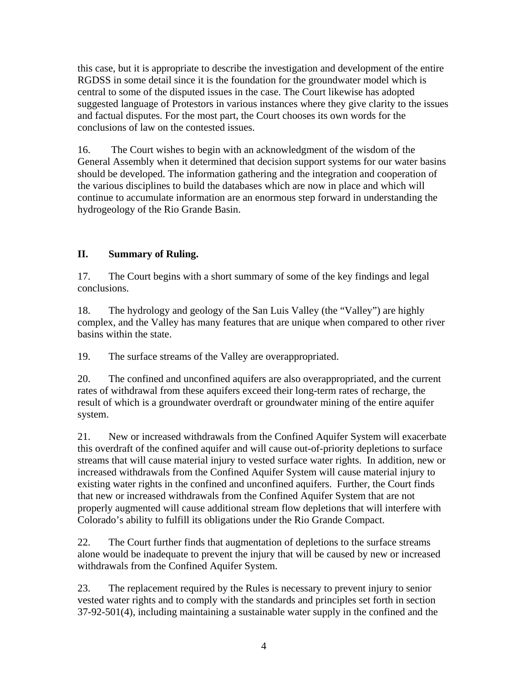this case, but it is appropriate to describe the investigation and development of the entire RGDSS in some detail since it is the foundation for the groundwater model which is central to some of the disputed issues in the case. The Court likewise has adopted suggested language of Protestors in various instances where they give clarity to the issues and factual disputes. For the most part, the Court chooses its own words for the conclusions of law on the contested issues.

16. The Court wishes to begin with an acknowledgment of the wisdom of the General Assembly when it determined that decision support systems for our water basins should be developed. The information gathering and the integration and cooperation of the various disciplines to build the databases which are now in place and which will continue to accumulate information are an enormous step forward in understanding the hydrogeology of the Rio Grande Basin.

## **II. Summary of Ruling.**

17. The Court begins with a short summary of some of the key findings and legal conclusions.

18. The hydrology and geology of the San Luis Valley (the "Valley") are highly complex, and the Valley has many features that are unique when compared to other river basins within the state.

19. The surface streams of the Valley are overappropriated.

20. The confined and unconfined aquifers are also overappropriated, and the current rates of withdrawal from these aquifers exceed their long-term rates of recharge, the result of which is a groundwater overdraft or groundwater mining of the entire aquifer system.

21. New or increased withdrawals from the Confined Aquifer System will exacerbate this overdraft of the confined aquifer and will cause out-of-priority depletions to surface streams that will cause material injury to vested surface water rights. In addition, new or increased withdrawals from the Confined Aquifer System will cause material injury to existing water rights in the confined and unconfined aquifers. Further, the Court finds that new or increased withdrawals from the Confined Aquifer System that are not properly augmented will cause additional stream flow depletions that will interfere with Colorado's ability to fulfill its obligations under the Rio Grande Compact.

22. The Court further finds that augmentation of depletions to the surface streams alone would be inadequate to prevent the injury that will be caused by new or increased withdrawals from the Confined Aquifer System.

23. The replacement required by the Rules is necessary to prevent injury to senior vested water rights and to comply with the standards and principles set forth in section 37-92-501(4), including maintaining a sustainable water supply in the confined and the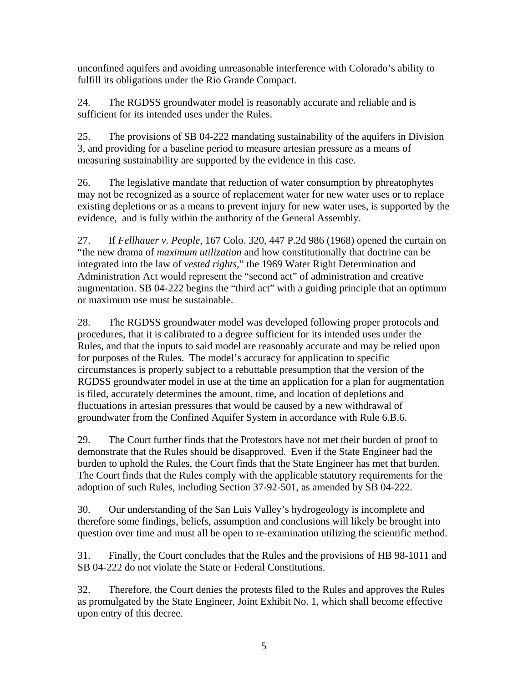unconfined aquifers and avoiding unreasonable interference with Colorado's ability to fulfill its obligations under the Rio Grande Compact.

24. The RGDSS groundwater model is reasonably accurate and reliable and is sufficient for its intended uses under the Rules.

25. The provisions of SB 04-222 mandating sustainability of the aquifers in Division 3, and providing for a baseline period to measure artesian pressure as a means of measuring sustainability are supported by the evidence in this case.

26. The legislative mandate that reduction of water consumption by phreatophytes may not be recognized as a source of replacement water for new water uses or to replace existing depletions or as a means to prevent injury for new water uses, is supported by the evidence, and is fully within the authority of the General Assembly.

27. If *Fellhauer v. People,* 167 Colo. 320, 447 P.2d 986 (1968) opened the curtain on "the new drama of *maximum utilization* and how constitutionally that doctrine can be integrated into the law of *vested rights,*" the 1969 Water Right Determination and Administration Act would represent the "second act" of administration and creative augmentation. SB 04-222 begins the "third act" with a guiding principle that an optimum or maximum use must be sustainable.

28. The RGDSS groundwater model was developed following proper protocols and procedures, that it is calibrated to a degree sufficient for its intended uses under the Rules, and that the inputs to said model are reasonably accurate and may be relied upon for purposes of the Rules. The model's accuracy for application to specific circumstances is properly subject to a rebuttable presumption that the version of the RGDSS groundwater model in use at the time an application for a plan for augmentation is filed, accurately determines the amount, time, and location of depletions and fluctuations in artesian pressures that would be caused by a new withdrawal of groundwater from the Confined Aquifer System in accordance with Rule 6.B.6.

29. The Court further finds that the Protestors have not met their burden of proof to demonstrate that the Rules should be disapproved. Even if the State Engineer had the burden to uphold the Rules, the Court finds that the State Engineer has met that burden. The Court finds that the Rules comply with the applicable statutory requirements for the adoption of such Rules, including Section 37-92-501, as amended by SB 04-222.

30. Our understanding of the San Luis Valley's hydrogeology is incomplete and therefore some findings, beliefs, assumption and conclusions will likely be brought into question over time and must all be open to re-examination utilizing the scientific method.

31. Finally, the Court concludes that the Rules and the provisions of HB 98-1011 and SB 04-222 do not violate the State or Federal Constitutions.

32. Therefore, the Court denies the protests filed to the Rules and approves the Rules as promulgated by the State Engineer, Joint Exhibit No. 1, which shall become effective upon entry of this decree.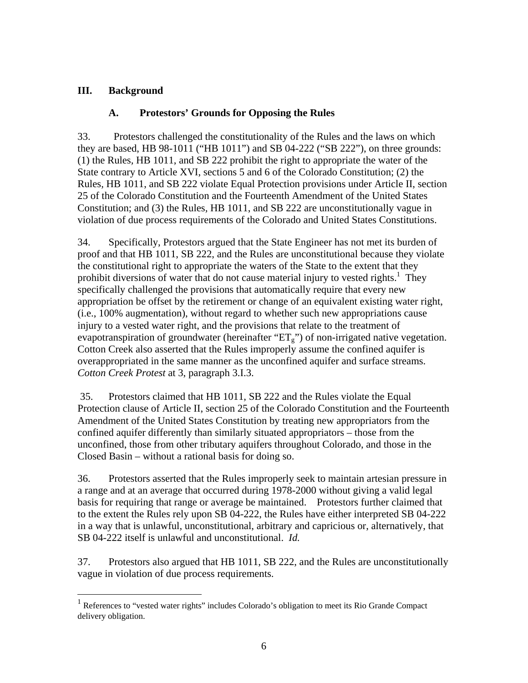## **III. Background**

 $\overline{a}$ 

## **A. Protestors' Grounds for Opposing the Rules**

33. Protestors challenged the constitutionality of the Rules and the laws on which they are based, HB 98-1011 ("HB 1011") and SB 04-222 ("SB 222"), on three grounds: (1) the Rules*,* HB 1011, and SB 222 prohibit the right to appropriate the water of the State contrary to Article XVI, sections 5 and 6 of the Colorado Constitution; (2) the Rules*,* HB 1011, and SB 222 violate Equal Protection provisions under Article II, section 25 of the Colorado Constitution and the Fourteenth Amendment of the United States Constitution; and (3) the Rules*,* HB 1011, and SB 222 are unconstitutionally vague in violation of due process requirements of the Colorado and United States Constitutions.

34. Specifically, Protestors argued that the State Engineer has not met its burden of proof and that HB 1011, SB 222, and the Rules are unconstitutional because they violate the constitutional right to appropriate the waters of the State to the extent that they prohibit diversions of water that do not cause material injury to vested rights.<sup>1</sup> They specifically challenged the provisions that automatically require that every new appropriation be offset by the retirement or change of an equivalent existing water right, (i.e., 100% augmentation), without regard to whether such new appropriations cause injury to a vested water right, and the provisions that relate to the treatment of evapotranspiration of groundwater (hereinafter " $ET_g$ ") of non-irrigated native vegetation. Cotton Creek also asserted that the Rules improperly assume the confined aquifer is overappropriated in the same manner as the unconfined aquifer and surface streams. *Cotton Creek Protest* at 3, paragraph 3.I.3.

 35. Protestors claimed that HB 1011, SB 222 and the Rules violate the Equal Protection clause of Article II, section 25 of the Colorado Constitution and the Fourteenth Amendment of the United States Constitution by treating new appropriators from the confined aquifer differently than similarly situated appropriators – those from the unconfined, those from other tributary aquifers throughout Colorado, and those in the Closed Basin – without a rational basis for doing so.

36. Protestors asserted that the Rules improperly seek to maintain artesian pressure in a range and at an average that occurred during 1978-2000 without giving a valid legal basis for requiring that range or average be maintained. Protestors further claimed that to the extent the Rules rely upon SB 04-222, the Rules have either interpreted SB 04-222 in a way that is unlawful, unconstitutional, arbitrary and capricious or, alternatively, that SB 04-222 itself is unlawful and unconstitutional. *Id.* 

37. Protestors also argued that HB 1011, SB 222, and the Rules are unconstitutionally vague in violation of due process requirements.

<sup>&</sup>lt;sup>1</sup> References to "vested water rights" includes Colorado's obligation to meet its Rio Grande Compact delivery obligation.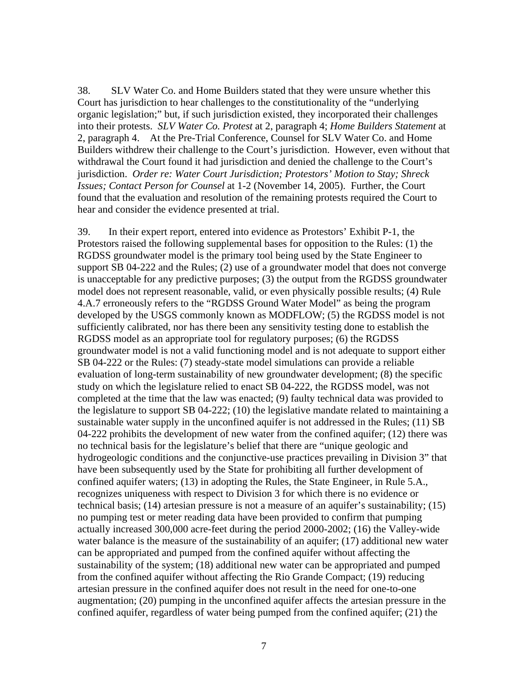38. SLV Water Co. and Home Builders stated that they were unsure whether this Court has jurisdiction to hear challenges to the constitutionality of the "underlying organic legislation;" but, if such jurisdiction existed, they incorporated their challenges into their protests. *SLV Water Co. Protest* at 2, paragraph 4; *Home Builders Statement* at 2, paragraph 4. At the Pre-Trial Conference, Counsel for SLV Water Co. and Home Builders withdrew their challenge to the Court's jurisdiction. However, even without that withdrawal the Court found it had jurisdiction and denied the challenge to the Court's jurisdiction. *Order re: Water Court Jurisdiction; Protestors' Motion to Stay; Shreck Issues; Contact Person for Counsel* at 1-2 (November 14, 2005). Further, the Court found that the evaluation and resolution of the remaining protests required the Court to hear and consider the evidence presented at trial.

39. In their expert report, entered into evidence as Protestors' Exhibit P-1, the Protestors raised the following supplemental bases for opposition to the Rules: (1) the RGDSS groundwater model is the primary tool being used by the State Engineer to support SB 04-222 and the Rules; (2) use of a groundwater model that does not converge is unacceptable for any predictive purposes; (3) the output from the RGDSS groundwater model does not represent reasonable, valid, or even physically possible results; (4) Rule 4.A.7 erroneously refers to the "RGDSS Ground Water Model" as being the program developed by the USGS commonly known as MODFLOW; (5) the RGDSS model is not sufficiently calibrated, nor has there been any sensitivity testing done to establish the RGDSS model as an appropriate tool for regulatory purposes; (6) the RGDSS groundwater model is not a valid functioning model and is not adequate to support either SB 04-222 or the Rules: (7) steady-state model simulations can provide a reliable evaluation of long-term sustainability of new groundwater development; (8) the specific study on which the legislature relied to enact SB 04-222, the RGDSS model, was not completed at the time that the law was enacted; (9) faulty technical data was provided to the legislature to support SB 04-222; (10) the legislative mandate related to maintaining a sustainable water supply in the unconfined aquifer is not addressed in the Rules; (11) SB 04-222 prohibits the development of new water from the confined aquifer; (12) there was no technical basis for the legislature's belief that there are "unique geologic and hydrogeologic conditions and the conjunctive-use practices prevailing in Division 3" that have been subsequently used by the State for prohibiting all further development of confined aquifer waters; (13) in adopting the Rules, the State Engineer, in Rule 5.A., recognizes uniqueness with respect to Division 3 for which there is no evidence or technical basis; (14) artesian pressure is not a measure of an aquifer's sustainability; (15) no pumping test or meter reading data have been provided to confirm that pumping actually increased 300,000 acre-feet during the period 2000-2002; (16) the Valley-wide water balance is the measure of the sustainability of an aquifer; (17) additional new water can be appropriated and pumped from the confined aquifer without affecting the sustainability of the system; (18) additional new water can be appropriated and pumped from the confined aquifer without affecting the Rio Grande Compact; (19) reducing artesian pressure in the confined aquifer does not result in the need for one-to-one augmentation; (20) pumping in the unconfined aquifer affects the artesian pressure in the confined aquifer, regardless of water being pumped from the confined aquifer; (21) the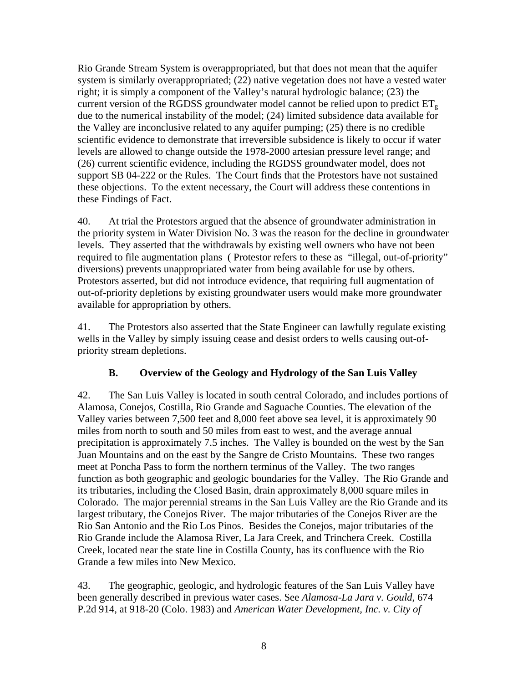Rio Grande Stream System is overappropriated, but that does not mean that the aquifer system is similarly overappropriated; (22) native vegetation does not have a vested water right; it is simply a component of the Valley's natural hydrologic balance; (23) the current version of the RGDSS groundwater model cannot be relied upon to predict  $ET_g$ due to the numerical instability of the model; (24) limited subsidence data available for the Valley are inconclusive related to any aquifer pumping; (25) there is no credible scientific evidence to demonstrate that irreversible subsidence is likely to occur if water levels are allowed to change outside the 1978-2000 artesian pressure level range; and (26) current scientific evidence, including the RGDSS groundwater model, does not support SB 04-222 or the Rules. The Court finds that the Protestors have not sustained these objections. To the extent necessary, the Court will address these contentions in these Findings of Fact.

40. At trial the Protestors argued that the absence of groundwater administration in the priority system in Water Division No. 3 was the reason for the decline in groundwater levels. They asserted that the withdrawals by existing well owners who have not been required to file augmentation plans ( Protestor refers to these as "illegal, out-of-priority" diversions) prevents unappropriated water from being available for use by others. Protestors asserted, but did not introduce evidence, that requiring full augmentation of out-of-priority depletions by existing groundwater users would make more groundwater available for appropriation by others.

41. The Protestors also asserted that the State Engineer can lawfully regulate existing wells in the Valley by simply issuing cease and desist orders to wells causing out-ofpriority stream depletions.

## **B. Overview of the Geology and Hydrology of the San Luis Valley**

42. The San Luis Valley is located in south central Colorado, and includes portions of Alamosa, Conejos, Costilla, Rio Grande and Saguache Counties. The elevation of the Valley varies between 7,500 feet and 8,000 feet above sea level, it is approximately 90 miles from north to south and 50 miles from east to west, and the average annual precipitation is approximately 7.5 inches. The Valley is bounded on the west by the San Juan Mountains and on the east by the Sangre de Cristo Mountains. These two ranges meet at Poncha Pass to form the northern terminus of the Valley. The two ranges function as both geographic and geologic boundaries for the Valley. The Rio Grande and its tributaries, including the Closed Basin, drain approximately 8,000 square miles in Colorado. The major perennial streams in the San Luis Valley are the Rio Grande and its largest tributary, the Conejos River. The major tributaries of the Conejos River are the Rio San Antonio and the Rio Los Pinos. Besides the Conejos, major tributaries of the Rio Grande include the Alamosa River, La Jara Creek, and Trinchera Creek. Costilla Creek, located near the state line in Costilla County, has its confluence with the Rio Grande a few miles into New Mexico.

43. The geographic, geologic, and hydrologic features of the San Luis Valley have been generally described in previous water cases. See *Alamosa-La Jara v. Gould*, 674 P.2d 914, at 918-20 (Colo. 1983) and *American Water Development, Inc. v. City of*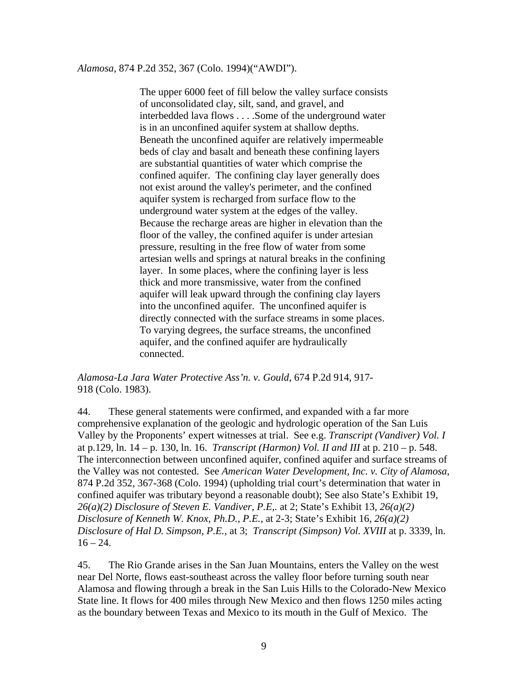### *Alamosa*, 874 P.2d 352, 367 (Colo. 1994)("AWDI").

The upper 6000 feet of fill below the valley surface consists of unconsolidated clay, silt, sand, and gravel, and interbedded lava flows . . . .Some of the underground water is in an unconfined aquifer system at shallow depths. Beneath the unconfined aquifer are relatively impermeable beds of clay and basalt and beneath these confining layers are substantial quantities of water which comprise the confined aquifer. The confining clay layer generally does not exist around the valley's perimeter, and the confined aquifer system is recharged from surface flow to the underground water system at the edges of the valley. Because the recharge areas are higher in elevation than the floor of the valley, the confined aquifer is under artesian pressure, resulting in the free flow of water from some artesian wells and springs at natural breaks in the confining layer. In some places, where the confining layer is less thick and more transmissive, water from the confined aquifer will leak upward through the confining clay layers into the unconfined aquifer. The unconfined aquifer is directly connected with the surface streams in some places. To varying degrees, the surface streams, the unconfined aquifer, and the confined aquifer are hydraulically connected.

*Alamosa-La Jara Water Protective Ass'n. v. Gould*, 674 P.2d 914, 917- 918 (Colo. 1983).

44. These general statements were confirmed, and expanded with a far more comprehensive explanation of the geologic and hydrologic operation of the San Luis Valley by the Proponents' expert witnesses at trial. See e.g. *Transcript (Vandiver) Vol. I* at p.129, ln. 14 – p. 130, ln. 16. *Transcript (Harmon) Vol. II and III* at p. 210 – p. 548. The interconnection between unconfined aquifer, confined aquifer and surface streams of the Valley was not contested. See *American Water Development, Inc. v. City of Alamosa*, 874 P.2d 352, 367-368 (Colo. 1994) (upholding trial court's determination that water in confined aquifer was tributary beyond a reasonable doubt); See also State's Exhibit 19, *26(a)(2) Disclosure of Steven E. Vandiver, P.E,.* at 2; State's Exhibit 13, *26(a)(2) Disclosure of Kenneth W. Knox, Ph.D., P.E.,* at 2-3; State's Exhibit 16, *26(a)(2) Disclosure of Hal D. Simpson, P.E.,* at 3; *Transcript (Simpson) Vol. XVIII* at p. 3339, ln.  $16 - 24.$ 

45. The Rio Grande arises in the San Juan Mountains, enters the Valley on the west near Del Norte, flows east-southeast across the valley floor before turning south near Alamosa and flowing through a break in the San Luis Hills to the Colorado-New Mexico State line. It flows for 400 miles through New Mexico and then flows 1250 miles acting as the boundary between Texas and Mexico to its mouth in the Gulf of Mexico. The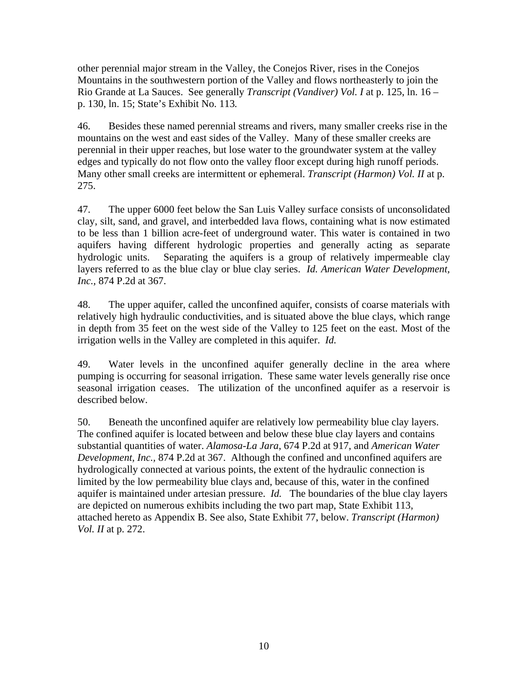other perennial major stream in the Valley, the Conejos River, rises in the Conejos Mountains in the southwestern portion of the Valley and flows northeasterly to join the Rio Grande at La Sauces. See generally *Transcript (Vandiver) Vol. I* at p. 125, ln. 16 – p. 130, ln. 15; State's Exhibit No. 113*.* 

46. Besides these named perennial streams and rivers, many smaller creeks rise in the mountains on the west and east sides of the Valley. Many of these smaller creeks are perennial in their upper reaches, but lose water to the groundwater system at the valley edges and typically do not flow onto the valley floor except during high runoff periods. Many other small creeks are intermittent or ephemeral. *Transcript (Harmon) Vol. II* at p. 275.

47. The upper 6000 feet below the San Luis Valley surface consists of unconsolidated clay, silt, sand, and gravel, and interbedded lava flows, containing what is now estimated to be less than 1 billion acre-feet of underground water. This water is contained in two aquifers having different hydrologic properties and generally acting as separate hydrologic units. Separating the aquifers is a group of relatively impermeable clay layers referred to as the blue clay or blue clay series. *Id. American Water Development, Inc.,* 874 P.2d at 367.

48. The upper aquifer, called the unconfined aquifer, consists of coarse materials with relatively high hydraulic conductivities, and is situated above the blue clays, which range in depth from 35 feet on the west side of the Valley to 125 feet on the east. Most of the irrigation wells in the Valley are completed in this aquifer. *Id.*

49. Water levels in the unconfined aquifer generally decline in the area where pumping is occurring for seasonal irrigation. These same water levels generally rise once seasonal irrigation ceases. The utilization of the unconfined aquifer as a reservoir is described below.

50. Beneath the unconfined aquifer are relatively low permeability blue clay layers. The confined aquifer is located between and below these blue clay layers and contains substantial quantities of water. *Alamosa-La Jara*, 674 P.2d at 917, and *American Water Development, Inc.,* 874 P.2d at 367. Although the confined and unconfined aquifers are hydrologically connected at various points, the extent of the hydraulic connection is limited by the low permeability blue clays and, because of this, water in the confined aquifer is maintained under artesian pressure. *Id.* The boundaries of the blue clay layers are depicted on numerous exhibits including the two part map, State Exhibit 113, attached hereto as Appendix B. See also, State Exhibit 77, below. *Transcript (Harmon) Vol. II* at p. 272.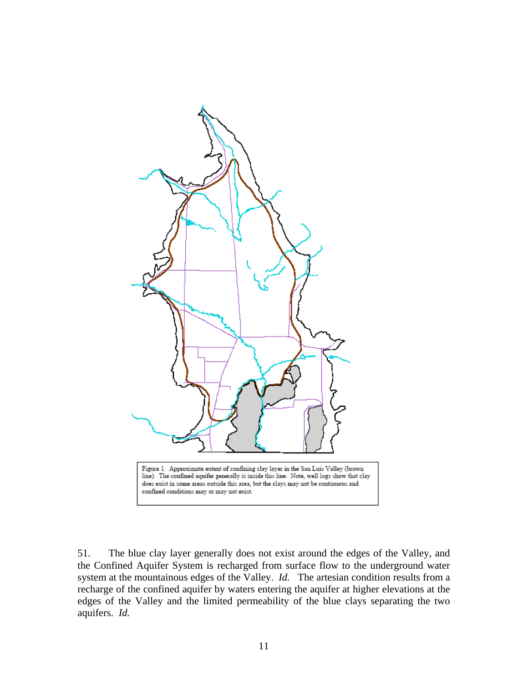

51. The blue clay layer generally does not exist around the edges of the Valley, and the Confined Aquifer System is recharged from surface flow to the underground water system at the mountainous edges of the Valley. *Id.* The artesian condition results from a recharge of the confined aquifer by waters entering the aquifer at higher elevations at the edges of the Valley and the limited permeability of the blue clays separating the two aquifers. *Id.*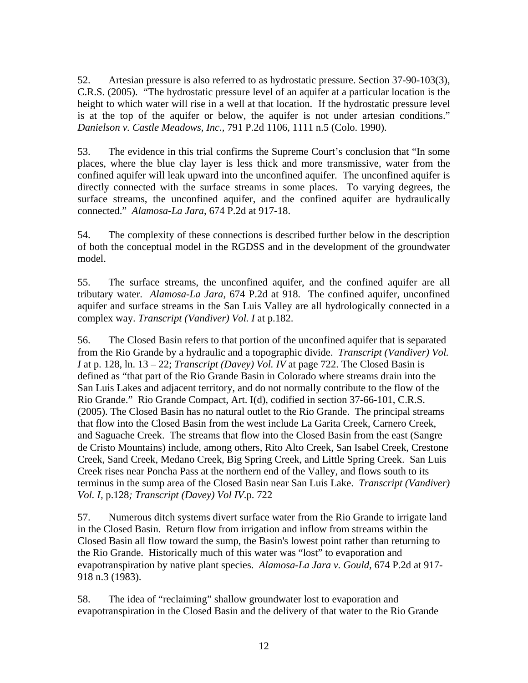52. Artesian pressure is also referred to as hydrostatic pressure. Section 37-90-103(3), C.R.S. (2005). "The hydrostatic pressure level of an aquifer at a particular location is the height to which water will rise in a well at that location. If the hydrostatic pressure level is at the top of the aquifer or below, the aquifer is not under artesian conditions." *Danielson v. Castle Meadows, Inc.,* 791 P.2d 1106, 1111 n.5 (Colo. 1990).

53. The evidence in this trial confirms the Supreme Court's conclusion that "In some places, where the blue clay layer is less thick and more transmissive, water from the confined aquifer will leak upward into the unconfined aquifer. The unconfined aquifer is directly connected with the surface streams in some places. To varying degrees, the surface streams, the unconfined aquifer, and the confined aquifer are hydraulically connected." *Alamosa-La Jara*, 674 P.2d at 917-18.

54. The complexity of these connections is described further below in the description of both the conceptual model in the RGDSS and in the development of the groundwater model.

55. The surface streams, the unconfined aquifer, and the confined aquifer are all tributary water. *Alamosa-La Jara*, 674 P.2d at 918. The confined aquifer, unconfined aquifer and surface streams in the San Luis Valley are all hydrologically connected in a complex way. *Transcript (Vandiver) Vol. I* at p.182.

56. The Closed Basin refers to that portion of the unconfined aquifer that is separated from the Rio Grande by a hydraulic and a topographic divide. *Transcript (Vandiver) Vol. I* at p. 128, ln. 13 – 22; *Transcript (Davey) Vol. IV* at page 722. The Closed Basin is defined as "that part of the Rio Grande Basin in Colorado where streams drain into the San Luis Lakes and adjacent territory, and do not normally contribute to the flow of the Rio Grande." Rio Grande Compact, Art. I(d), codified in section 37-66-101, C.R.S. (2005). The Closed Basin has no natural outlet to the Rio Grande. The principal streams that flow into the Closed Basin from the west include La Garita Creek, Carnero Creek, and Saguache Creek. The streams that flow into the Closed Basin from the east (Sangre de Cristo Mountains) include, among others, Rito Alto Creek, San Isabel Creek, Crestone Creek, Sand Creek, Medano Creek, Big Spring Creek, and Little Spring Creek. San Luis Creek rises near Poncha Pass at the northern end of the Valley, and flows south to its terminus in the sump area of the Closed Basin near San Luis Lake. *Transcript (Vandiver) Vol. I,* p.128*; Transcript (Davey) Vol IV*.p. 722

57. Numerous ditch systems divert surface water from the Rio Grande to irrigate land in the Closed Basin. Return flow from irrigation and inflow from streams within the Closed Basin all flow toward the sump, the Basin's lowest point rather than returning to the Rio Grande. Historically much of this water was "lost" to evaporation and evapotranspiration by native plant species. *Alamosa-La Jara v. Gould,* 674 P.2d at 917- 918 n.3 (1983).

58. The idea of "reclaiming" shallow groundwater lost to evaporation and evapotranspiration in the Closed Basin and the delivery of that water to the Rio Grande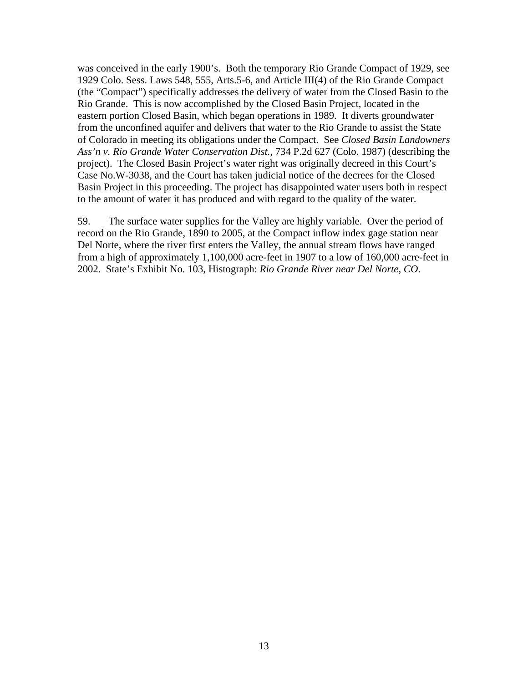was conceived in the early 1900's. Both the temporary Rio Grande Compact of 1929, see 1929 Colo. Sess. Laws 548, 555, Arts.5-6, and Article III(4) of the Rio Grande Compact (the "Compact") specifically addresses the delivery of water from the Closed Basin to the Rio Grande. This is now accomplished by the Closed Basin Project, located in the eastern portion Closed Basin, which began operations in 1989. It diverts groundwater from the unconfined aquifer and delivers that water to the Rio Grande to assist the State of Colorado in meeting its obligations under the Compact. See *Closed Basin Landowners Ass'n v. Rio Grande Water Conservation Dist.*, 734 P.2d 627 (Colo. 1987) (describing the project). The Closed Basin Project's water right was originally decreed in this Court's Case No.W-3038, and the Court has taken judicial notice of the decrees for the Closed Basin Project in this proceeding. The project has disappointed water users both in respect to the amount of water it has produced and with regard to the quality of the water.

59. The surface water supplies for the Valley are highly variable. Over the period of record on the Rio Grande, 1890 to 2005, at the Compact inflow index gage station near Del Norte, where the river first enters the Valley, the annual stream flows have ranged from a high of approximately 1,100,000 acre-feet in 1907 to a low of 160,000 acre-feet in 2002. State's Exhibit No. 103, Histograph: *Rio Grande River near Del Norte, CO*.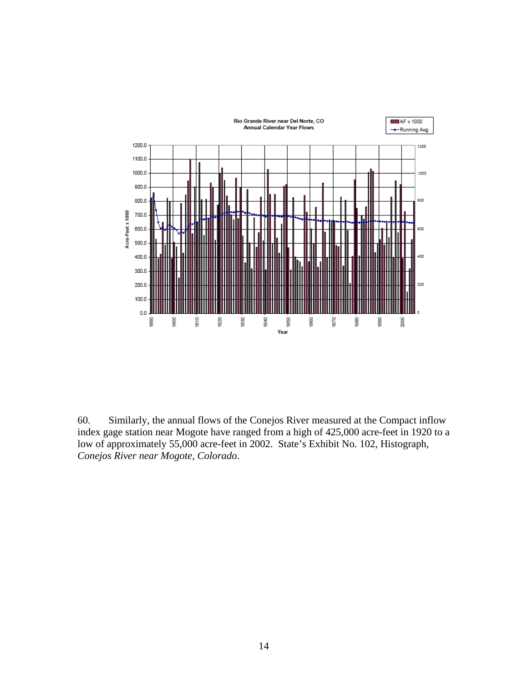

60. Similarly, the annual flows of the Conejos River measured at the Compact inflow index gage station near Mogote have ranged from a high of 425,000 acre-feet in 1920 to a low of approximately 55,000 acre-feet in 2002. State's Exhibit No. 102, Histograph*, Conejos River near Mogote, Colorado*.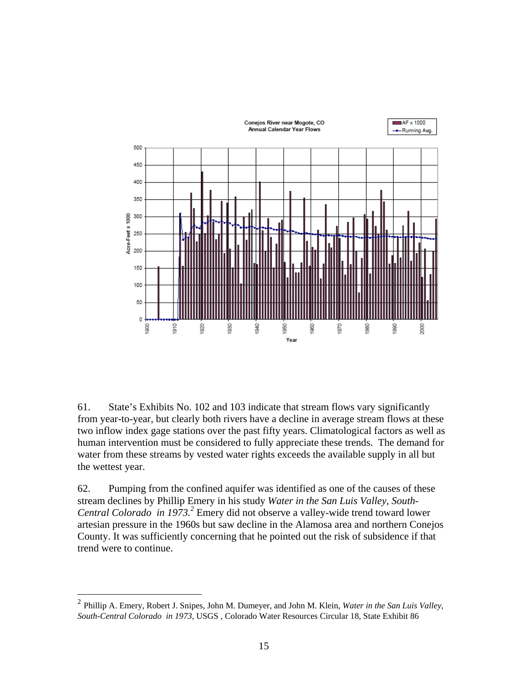

61. State's Exhibits No. 102 and 103 indicate that stream flows vary significantly from year-to-year, but clearly both rivers have a decline in average stream flows at these two inflow index gage stations over the past fifty years. Climatological factors as well as human intervention must be considered to fully appreciate these trends. The demand for water from these streams by vested water rights exceeds the available supply in all but the wettest year.

62. Pumping from the confined aquifer was identified as one of the causes of these stream declines by Phillip Emery in his study *Water in the San Luis Valley, South-*Central Colorado in 1973.<sup>2</sup> Emery did not observe a valley-wide trend toward lower artesian pressure in the 1960s but saw decline in the Alamosa area and northern Conejos County. It was sufficiently concerning that he pointed out the risk of subsidence if that trend were to continue.

1

<sup>2</sup> Phillip A. Emery, Robert J. Snipes, John M. Dumeyer, and John M. Klein, *Water in the San Luis Valley, South-Central Colorado in 1973,* USGS , Colorado Water Resources Circular 18, State Exhibit 86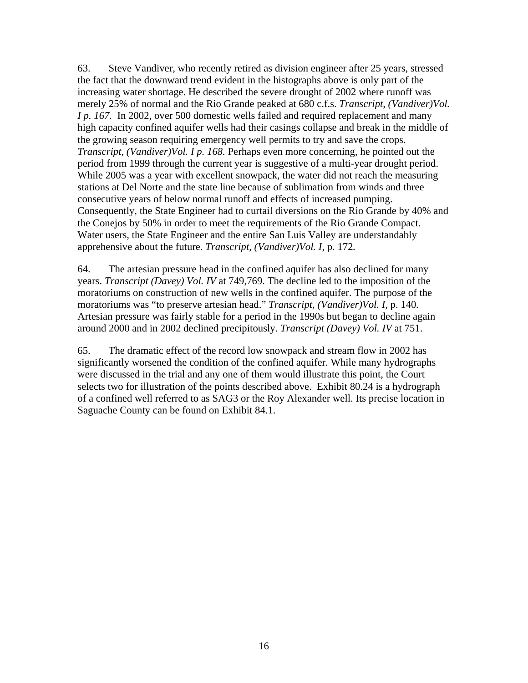63. Steve Vandiver, who recently retired as division engineer after 25 years, stressed the fact that the downward trend evident in the histographs above is only part of the increasing water shortage. He described the severe drought of 2002 where runoff was merely 25% of normal and the Rio Grande peaked at 680 c.f.s. *Transcript, (Vandiver)Vol. I p. 167.* In 2002, over 500 domestic wells failed and required replacement and many high capacity confined aquifer wells had their casings collapse and break in the middle of the growing season requiring emergency well permits to try and save the crops. *Transcript, (Vandiver)Vol. I p. 168.* Perhaps even more concerning, he pointed out the period from 1999 through the current year is suggestive of a multi-year drought period. While 2005 was a year with excellent snowpack, the water did not reach the measuring stations at Del Norte and the state line because of sublimation from winds and three consecutive years of below normal runoff and effects of increased pumping. Consequently, the State Engineer had to curtail diversions on the Rio Grande by 40% and the Conejos by 50% in order to meet the requirements of the Rio Grande Compact. Water users, the State Engineer and the entire San Luis Valley are understandably apprehensive about the future. *Transcript, (Vandiver)Vol. I,* p. 172*.* 

64. The artesian pressure head in the confined aquifer has also declined for many years. *Transcript (Davey) Vol. IV* at 749,769. The decline led to the imposition of the moratoriums on construction of new wells in the confined aquifer. The purpose of the moratoriums was "to preserve artesian head." *Transcript, (Vandiver)Vol. I,* p. 140*.* Artesian pressure was fairly stable for a period in the 1990s but began to decline again around 2000 and in 2002 declined precipitously. *Transcript (Davey) Vol. IV* at 751.

65. The dramatic effect of the record low snowpack and stream flow in 2002 has significantly worsened the condition of the confined aquifer. While many hydrographs were discussed in the trial and any one of them would illustrate this point, the Court selects two for illustration of the points described above. Exhibit 80.24 is a hydrograph of a confined well referred to as SAG3 or the Roy Alexander well. Its precise location in Saguache County can be found on Exhibit 84.1.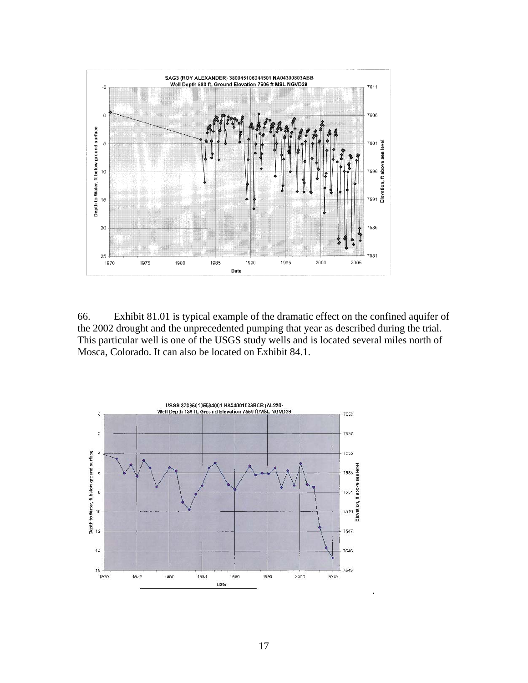

66. Exhibit 81.01 is typical example of the dramatic effect on the confined aquifer of the 2002 drought and the unprecedented pumping that year as described during the trial. This particular well is one of the USGS study wells and is located several miles north of Mosca, Colorado. It can also be located on Exhibit 84.1.

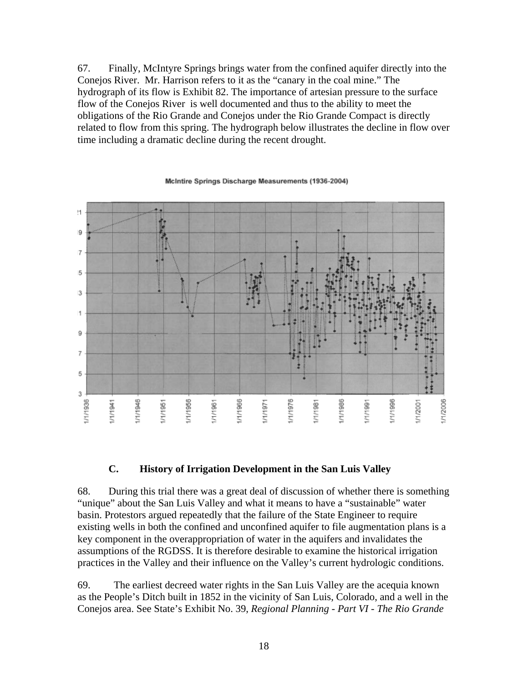67. Finally, McIntyre Springs brings water from the confined aquifer directly into the Conejos River. Mr. Harrison refers to it as the "canary in the coal mine." The hydrograph of its flow is Exhibit 82. The importance of artesian pressure to the surface flow of the Conejos River is well documented and thus to the ability to meet the obligations of the Rio Grande and Conejos under the Rio Grande Compact is directly related to flow from this spring. The hydrograph below illustrates the decline in flow over time including a dramatic decline during the recent drought.

#### ł1  $\overline{9}$ 7 5  $\overline{3}$  $\mathbf{1}$ 9 7 5 3 1/1/2006 1/1/1936 1/1/1941 1/1/1946 1/1/1951 1/1/1956 1/1/1961 1/1/1966 1/1/1971 1/1/1976 1/1/1986 11/1996 1/1/2001 1/1/198 /1/199

#### McIntire Springs Discharge Measurements (1936-2004)

### **C. History of Irrigation Development in the San Luis Valley**

68. During this trial there was a great deal of discussion of whether there is something "unique" about the San Luis Valley and what it means to have a "sustainable" water basin. Protestors argued repeatedly that the failure of the State Engineer to require existing wells in both the confined and unconfined aquifer to file augmentation plans is a key component in the overappropriation of water in the aquifers and invalidates the assumptions of the RGDSS. It is therefore desirable to examine the historical irrigation practices in the Valley and their influence on the Valley's current hydrologic conditions.

69. The earliest decreed water rights in the San Luis Valley are the acequia known as the People's Ditch built in 1852 in the vicinity of San Luis, Colorado, and a well in the Conejos area. See State's Exhibit No. 39, *Regional Planning - Part VI - The Rio Grande*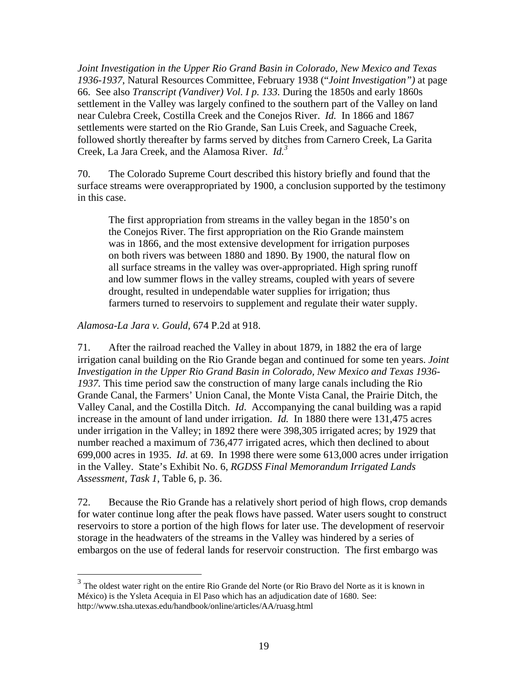*Joint Investigation in the Upper Rio Grand Basin in Colorado, New Mexico and Texas 1936-1937*, Natural Resources Committee, February 1938 ("*Joint Investigation")* at page 66. See also *Transcript (Vandiver) Vol. I p. 133.* During the 1850s and early 1860s settlement in the Valley was largely confined to the southern part of the Valley on land near Culebra Creek, Costilla Creek and the Conejos River. *Id.* In 1866 and 1867 settlements were started on the Rio Grande, San Luis Creek, and Saguache Creek, followed shortly thereafter by farms served by ditches from Carnero Creek, La Garita Creek, La Jara Creek, and the Alamosa River. *Id. 3*

70. The Colorado Supreme Court described this history briefly and found that the surface streams were overappropriated by 1900, a conclusion supported by the testimony in this case.

The first appropriation from streams in the valley began in the 1850's on the Conejos River. The first appropriation on the Rio Grande mainstem was in 1866, and the most extensive development for irrigation purposes on both rivers was between 1880 and 1890. By 1900, the natural flow on all surface streams in the valley was over-appropriated. High spring runoff and low summer flows in the valley streams, coupled with years of severe drought, resulted in undependable water supplies for irrigation; thus farmers turned to reservoirs to supplement and regulate their water supply.

*Alamosa-La Jara v. Gould,* 674 P.2d at 918.

 $\overline{a}$ 

71. After the railroad reached the Valley in about 1879, in 1882 the era of large irrigation canal building on the Rio Grande began and continued for some ten years. *Joint Investigation in the Upper Rio Grand Basin in Colorado, New Mexico and Texas 1936- 1937.* This time period saw the construction of many large canals including the Rio Grande Canal, the Farmers' Union Canal, the Monte Vista Canal, the Prairie Ditch, the Valley Canal, and the Costilla Ditch. *Id*. Accompanying the canal building was a rapid increase in the amount of land under irrigation. *Id.* In 1880 there were 131,475 acres under irrigation in the Valley; in 1892 there were 398,305 irrigated acres; by 1929 that number reached a maximum of 736,477 irrigated acres, which then declined to about 699,000 acres in 1935. *Id*. at 69. In 1998 there were some 613,000 acres under irrigation in the Valley. State's Exhibit No. 6, *RGDSS Final Memorandum Irrigated Lands Assessment, Task 1*, Table 6, p. 36.

72. Because the Rio Grande has a relatively short period of high flows, crop demands for water continue long after the peak flows have passed. Water users sought to construct reservoirs to store a portion of the high flows for later use. The development of reservoir storage in the headwaters of the streams in the Valley was hindered by a series of embargos on the use of federal lands for reservoir construction. The first embargo was

 $3$  The oldest water right on the entire Rio Grande del Norte (or Rio Bravo del Norte as it is known in México) is the Ysleta Acequia in El Paso which has an adjudication date of 1680. See: http://www.tsha.utexas.edu/handbook/online/articles/AA/ruasg.html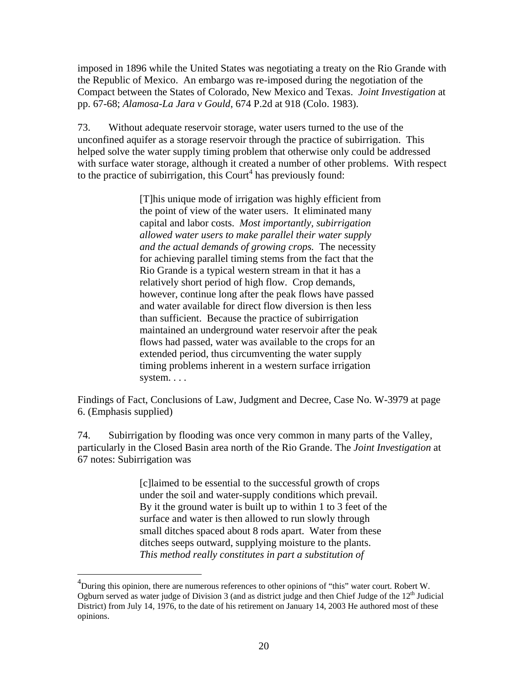imposed in 1896 while the United States was negotiating a treaty on the Rio Grande with the Republic of Mexico. An embargo was re-imposed during the negotiation of the Compact between the States of Colorado, New Mexico and Texas. *Joint Investigation* at pp. 67-68; *Alamosa-La Jara v Gould*, 674 P.2d at 918 (Colo. 1983).

73. Without adequate reservoir storage, water users turned to the use of the unconfined aquifer as a storage reservoir through the practice of subirrigation. This helped solve the water supply timing problem that otherwise only could be addressed with surface water storage, although it created a number of other problems. With respect to the practice of subirrigation, this Court<sup>4</sup> has previously found:

> [T]his unique mode of irrigation was highly efficient from the point of view of the water users. It eliminated many capital and labor costs. *Most importantly, subirrigation allowed water users to make parallel their water supply and the actual demands of growing crops.* The necessity for achieving parallel timing stems from the fact that the Rio Grande is a typical western stream in that it has a relatively short period of high flow. Crop demands, however, continue long after the peak flows have passed and water available for direct flow diversion is then less than sufficient. Because the practice of subirrigation maintained an underground water reservoir after the peak flows had passed, water was available to the crops for an extended period, thus circumventing the water supply timing problems inherent in a western surface irrigation system. . . .

Findings of Fact, Conclusions of Law, Judgment and Decree, Case No. W-3979 at page 6. (Emphasis supplied)

74. Subirrigation by flooding was once very common in many parts of the Valley, particularly in the Closed Basin area north of the Rio Grande. The *Joint Investigation* at 67 notes: Subirrigation was

> [c]laimed to be essential to the successful growth of crops under the soil and water-supply conditions which prevail. By it the ground water is built up to within 1 to 3 feet of the surface and water is then allowed to run slowly through small ditches spaced about 8 rods apart. Water from these ditches seeps outward, supplying moisture to the plants. *This method really constitutes in part a substitution of*

 $\overline{a}$ 

 $^{4}$ During this opinion, there are numerous references to other opinions of "this" water court. Robert W. Ogburn served as water judge of Division 3 (and as district judge and then Chief Judge of the  $12<sup>th</sup>$  Judicial District) from July 14, 1976, to the date of his retirement on January 14, 2003 He authored most of these opinions.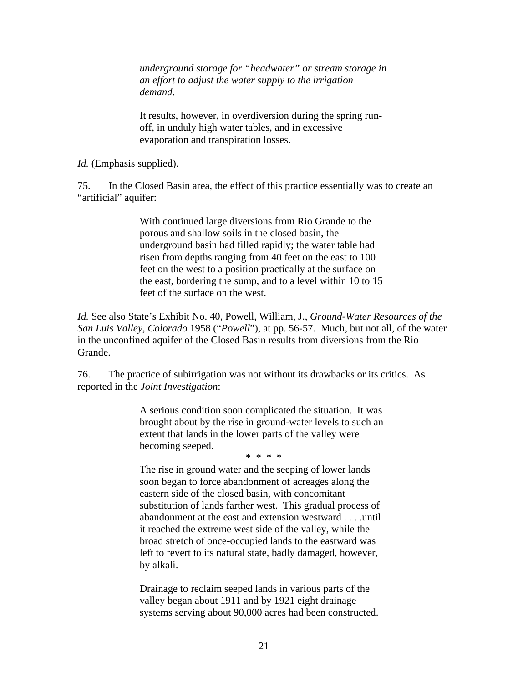*underground storage for "headwater" or stream storage in an effort to adjust the water supply to the irrigation demand*.

It results, however, in overdiversion during the spring runoff, in unduly high water tables, and in excessive evaporation and transpiration losses.

*Id.* (Emphasis supplied).

75. In the Closed Basin area, the effect of this practice essentially was to create an "artificial" aquifer:

> With continued large diversions from Rio Grande to the porous and shallow soils in the closed basin, the underground basin had filled rapidly; the water table had risen from depths ranging from 40 feet on the east to 100 feet on the west to a position practically at the surface on the east, bordering the sump, and to a level within 10 to 15 feet of the surface on the west.

*Id.* See also State's Exhibit No. 40, Powell, William, J., *Ground-Water Resources of the San Luis Valley, Colorado* 1958 ("*Powell*"), at pp. 56-57. Much, but not all, of the water in the unconfined aquifer of the Closed Basin results from diversions from the Rio Grande.

76. The practice of subirrigation was not without its drawbacks or its critics. As reported in the *Joint Investigation*:

> A serious condition soon complicated the situation. It was brought about by the rise in ground-water levels to such an extent that lands in the lower parts of the valley were becoming seeped.

\* \* \* \*

The rise in ground water and the seeping of lower lands soon began to force abandonment of acreages along the eastern side of the closed basin, with concomitant substitution of lands farther west. This gradual process of abandonment at the east and extension westward . . . .until it reached the extreme west side of the valley, while the broad stretch of once-occupied lands to the eastward was left to revert to its natural state, badly damaged, however, by alkali.

Drainage to reclaim seeped lands in various parts of the valley began about 1911 and by 1921 eight drainage systems serving about 90,000 acres had been constructed.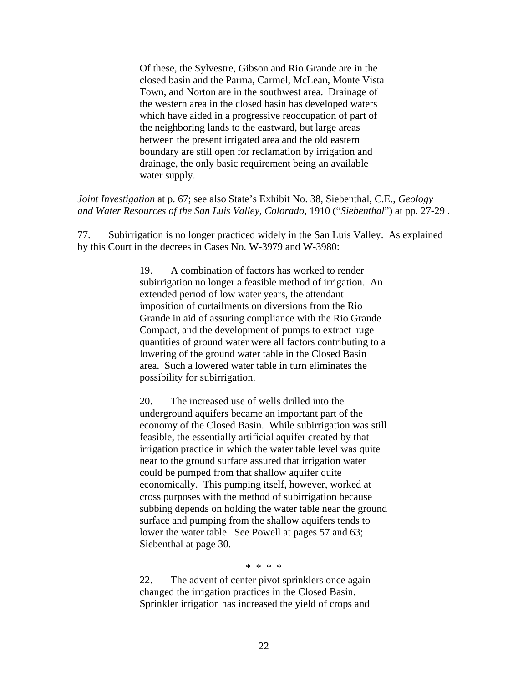Of these, the Sylvestre, Gibson and Rio Grande are in the closed basin and the Parma, Carmel, McLean, Monte Vista Town, and Norton are in the southwest area. Drainage of the western area in the closed basin has developed waters which have aided in a progressive reoccupation of part of the neighboring lands to the eastward, but large areas between the present irrigated area and the old eastern boundary are still open for reclamation by irrigation and drainage, the only basic requirement being an available water supply.

*Joint Investigation* at p. 67; see also State's Exhibit No. 38, Siebenthal, C.E., *Geology and Water Resources of the San Luis Valley, Colorado*, 1910 ("*Siebenthal*") at pp. 27-29 .

77. Subirrigation is no longer practiced widely in the San Luis Valley. As explained by this Court in the decrees in Cases No. W-3979 and W-3980:

> 19. A combination of factors has worked to render subirrigation no longer a feasible method of irrigation. An extended period of low water years, the attendant imposition of curtailments on diversions from the Rio Grande in aid of assuring compliance with the Rio Grande Compact, and the development of pumps to extract huge quantities of ground water were all factors contributing to a lowering of the ground water table in the Closed Basin area. Such a lowered water table in turn eliminates the possibility for subirrigation.

> 20. The increased use of wells drilled into the underground aquifers became an important part of the economy of the Closed Basin. While subirrigation was still feasible, the essentially artificial aquifer created by that irrigation practice in which the water table level was quite near to the ground surface assured that irrigation water could be pumped from that shallow aquifer quite economically. This pumping itself, however, worked at cross purposes with the method of subirrigation because subbing depends on holding the water table near the ground surface and pumping from the shallow aquifers tends to lower the water table. See Powell at pages 57 and 63; Siebenthal at page 30.

> > \* \* \* \*

22. The advent of center pivot sprinklers once again changed the irrigation practices in the Closed Basin. Sprinkler irrigation has increased the yield of crops and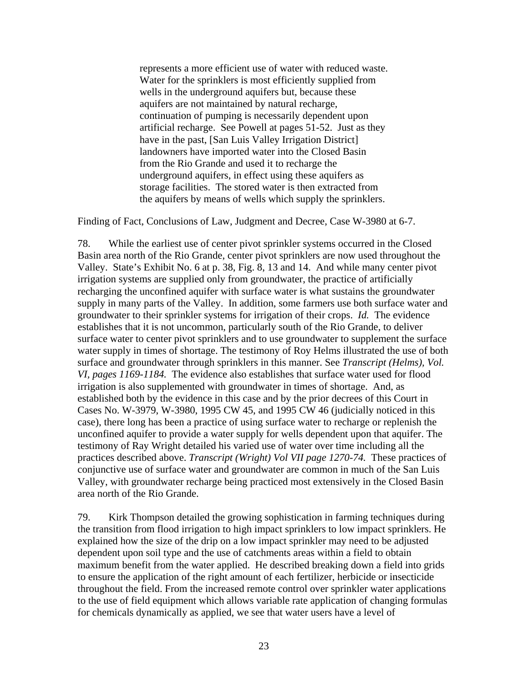represents a more efficient use of water with reduced waste. Water for the sprinklers is most efficiently supplied from wells in the underground aquifers but, because these aquifers are not maintained by natural recharge, continuation of pumping is necessarily dependent upon artificial recharge. See Powell at pages 51-52. Just as they have in the past, [San Luis Valley Irrigation District] landowners have imported water into the Closed Basin from the Rio Grande and used it to recharge the underground aquifers, in effect using these aquifers as storage facilities. The stored water is then extracted from the aquifers by means of wells which supply the sprinklers.

Finding of Fact, Conclusions of Law, Judgment and Decree, Case W-3980 at 6-7.

78. While the earliest use of center pivot sprinkler systems occurred in the Closed Basin area north of the Rio Grande, center pivot sprinklers are now used throughout the Valley. State's Exhibit No. 6 at p. 38, Fig. 8, 13 and 14. And while many center pivot irrigation systems are supplied only from groundwater, the practice of artificially recharging the unconfined aquifer with surface water is what sustains the groundwater supply in many parts of the Valley. In addition, some farmers use both surface water and groundwater to their sprinkler systems for irrigation of their crops. *Id.* The evidence establishes that it is not uncommon, particularly south of the Rio Grande, to deliver surface water to center pivot sprinklers and to use groundwater to supplement the surface water supply in times of shortage. The testimony of Roy Helms illustrated the use of both surface and groundwater through sprinklers in this manner. See *Transcript (Helms), Vol. VI, pages 1169-1184.* The evidence also establishes that surface water used for flood irrigation is also supplemented with groundwater in times of shortage. And, as established both by the evidence in this case and by the prior decrees of this Court in Cases No. W-3979, W-3980, 1995 CW 45, and 1995 CW 46 (judicially noticed in this case), there long has been a practice of using surface water to recharge or replenish the unconfined aquifer to provide a water supply for wells dependent upon that aquifer. The testimony of Ray Wright detailed his varied use of water over time including all the practices described above. *Transcript (Wright) Vol VII page 1270-74.* These practices of conjunctive use of surface water and groundwater are common in much of the San Luis Valley, with groundwater recharge being practiced most extensively in the Closed Basin area north of the Rio Grande.

79. Kirk Thompson detailed the growing sophistication in farming techniques during the transition from flood irrigation to high impact sprinklers to low impact sprinklers. He explained how the size of the drip on a low impact sprinkler may need to be adjusted dependent upon soil type and the use of catchments areas within a field to obtain maximum benefit from the water applied. He described breaking down a field into grids to ensure the application of the right amount of each fertilizer, herbicide or insecticide throughout the field. From the increased remote control over sprinkler water applications to the use of field equipment which allows variable rate application of changing formulas for chemicals dynamically as applied, we see that water users have a level of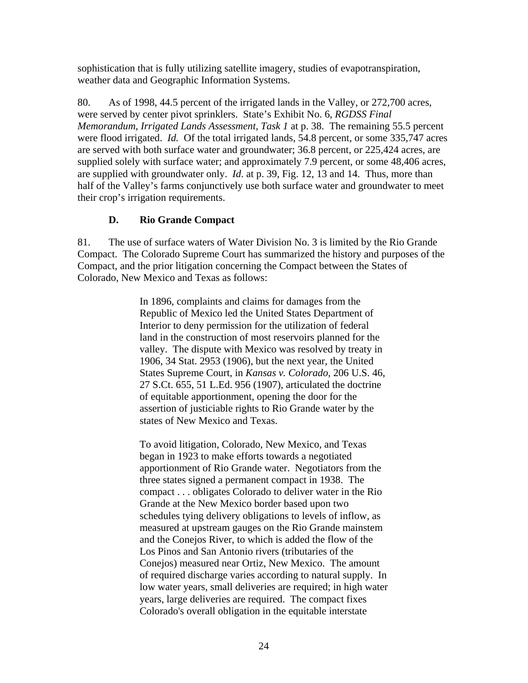sophistication that is fully utilizing satellite imagery, studies of evapotranspiration, weather data and Geographic Information Systems.

80. As of 1998, 44.5 percent of the irrigated lands in the Valley, or 272,700 acres, were served by center pivot sprinklers. State's Exhibit No. 6, *RGDSS Final Memorandum, Irrigated Lands Assessment, Task 1* at p. 38. The remaining 55.5 percent were flood irrigated. *Id.* Of the total irrigated lands, 54.8 percent, or some 335,747 acres are served with both surface water and groundwater; 36.8 percent, or 225,424 acres, are supplied solely with surface water; and approximately 7.9 percent, or some 48,406 acres, are supplied with groundwater only. *Id*. at p. 39, Fig. 12, 13 and 14. Thus, more than half of the Valley's farms conjunctively use both surface water and groundwater to meet their crop's irrigation requirements.

## **D. Rio Grande Compact**

81. The use of surface waters of Water Division No. 3 is limited by the Rio Grande Compact. The Colorado Supreme Court has summarized the history and purposes of the Compact, and the prior litigation concerning the Compact between the States of Colorado, New Mexico and Texas as follows:

> In 1896, complaints and claims for damages from the Republic of Mexico led the United States Department of Interior to deny permission for the utilization of federal land in the construction of most reservoirs planned for the valley. The dispute with Mexico was resolved by treaty in 1906, 34 Stat. 2953 (1906), but the next year, the United States Supreme Court, in *Kansas v. Colorado,* 206 U.S. 46, 27 S.Ct. 655, 51 L.Ed. 956 (1907), articulated the doctrine of equitable apportionment, opening the door for the assertion of justiciable rights to Rio Grande water by the states of New Mexico and Texas.

To avoid litigation, Colorado, New Mexico, and Texas began in 1923 to make efforts towards a negotiated apportionment of Rio Grande water. Negotiators from the three states signed a permanent compact in 1938. The compact . . . obligates Colorado to deliver water in the Rio Grande at the New Mexico border based upon two schedules tying delivery obligations to levels of inflow, as measured at upstream gauges on the Rio Grande mainstem and the Conejos River, to which is added the flow of the Los Pinos and San Antonio rivers (tributaries of the Conejos) measured near Ortiz, New Mexico. The amount of required discharge varies according to natural supply. In low water years, small deliveries are required; in high water years, large deliveries are required. The compact fixes Colorado's overall obligation in the equitable interstate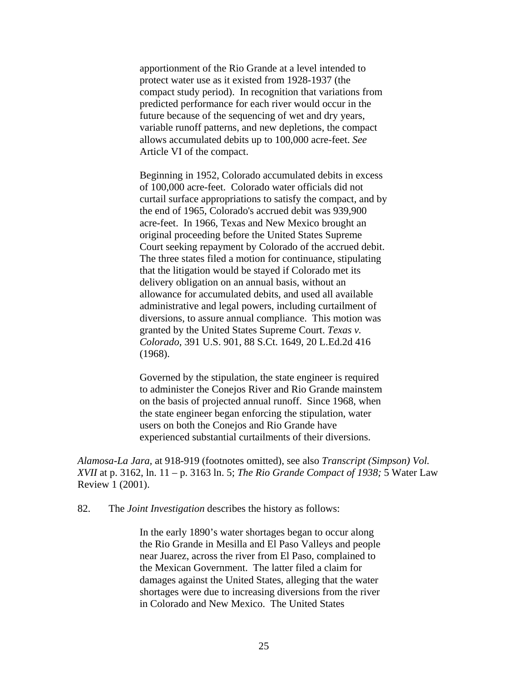apportionment of the Rio Grande at a level intended to protect water use as it existed from 1928-1937 (the compact study period). In recognition that variations from predicted performance for each river would occur in the future because of the sequencing of wet and dry years, variable runoff patterns, and new depletions, the compact allows accumulated debits up to 100,000 acre-feet. *See* Article VI of the compact.

Beginning in 1952, Colorado accumulated debits in excess of 100,000 acre-feet. Colorado water officials did not curtail surface appropriations to satisfy the compact, and by the end of 1965, Colorado's accrued debit was 939,900 acre-feet. In 1966, Texas and New Mexico brought an original proceeding before the United States Supreme Court seeking repayment by Colorado of the accrued debit. The three states filed a motion for continuance, stipulating that the litigation would be stayed if Colorado met its delivery obligation on an annual basis, without an allowance for accumulated debits, and used all available administrative and legal powers, including curtailment of diversions, to assure annual compliance. This motion was granted by the United States Supreme Court. *Texas v. Colorado,* 391 U.S. 901, 88 S.Ct. 1649, 20 L.Ed.2d 416 (1968).

Governed by the stipulation, the state engineer is required to administer the Conejos River and Rio Grande mainstem on the basis of projected annual runoff. Since 1968, when the state engineer began enforcing the stipulation, water users on both the Conejos and Rio Grande have experienced substantial curtailments of their diversions.

*Alamosa-La Jara,* at 918-919 (footnotes omitted), see also *Transcript (Simpson) Vol. XVII* at p. 3162, ln. 11 – p. 3163 ln. 5; *The Rio Grande Compact of 1938;* 5 Water Law Review 1 (2001).

82. The *Joint Investigation* describes the history as follows:

In the early 1890's water shortages began to occur along the Rio Grande in Mesilla and El Paso Valleys and people near Juarez, across the river from El Paso, complained to the Mexican Government. The latter filed a claim for damages against the United States, alleging that the water shortages were due to increasing diversions from the river in Colorado and New Mexico. The United States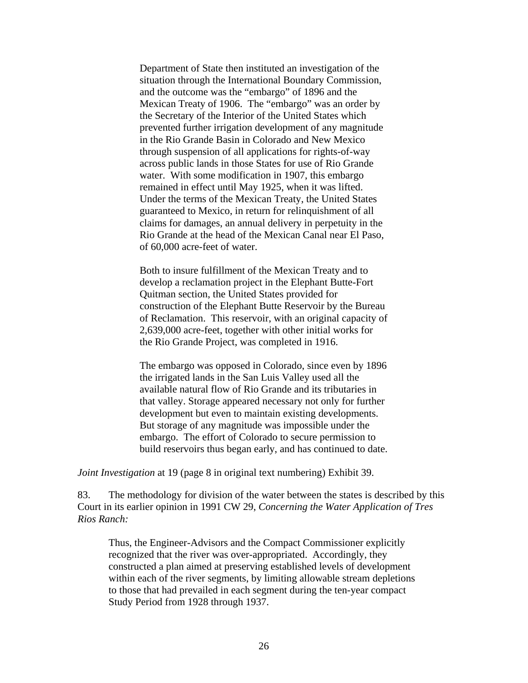Department of State then instituted an investigation of the situation through the International Boundary Commission, and the outcome was the "embargo" of 1896 and the Mexican Treaty of 1906. The "embargo" was an order by the Secretary of the Interior of the United States which prevented further irrigation development of any magnitude in the Rio Grande Basin in Colorado and New Mexico through suspension of all applications for rights-of-way across public lands in those States for use of Rio Grande water. With some modification in 1907, this embargo remained in effect until May 1925, when it was lifted. Under the terms of the Mexican Treaty, the United States guaranteed to Mexico, in return for relinquishment of all claims for damages, an annual delivery in perpetuity in the Rio Grande at the head of the Mexican Canal near El Paso, of 60,000 acre-feet of water.

Both to insure fulfillment of the Mexican Treaty and to develop a reclamation project in the Elephant Butte-Fort Quitman section, the United States provided for construction of the Elephant Butte Reservoir by the Bureau of Reclamation. This reservoir, with an original capacity of 2,639,000 acre-feet, together with other initial works for the Rio Grande Project, was completed in 1916.

The embargo was opposed in Colorado, since even by 1896 the irrigated lands in the San Luis Valley used all the available natural flow of Rio Grande and its tributaries in that valley. Storage appeared necessary not only for further development but even to maintain existing developments. But storage of any magnitude was impossible under the embargo. The effort of Colorado to secure permission to build reservoirs thus began early, and has continued to date.

*Joint Investigation* at 19 (page 8 in original text numbering) Exhibit 39.

83. The methodology for division of the water between the states is described by this Court in its earlier opinion in 1991 CW 29, *Concerning the Water Application of Tres Rios Ranch:* 

Thus, the Engineer-Advisors and the Compact Commissioner explicitly recognized that the river was over-appropriated. Accordingly, they constructed a plan aimed at preserving established levels of development within each of the river segments, by limiting allowable stream depletions to those that had prevailed in each segment during the ten-year compact Study Period from 1928 through 1937.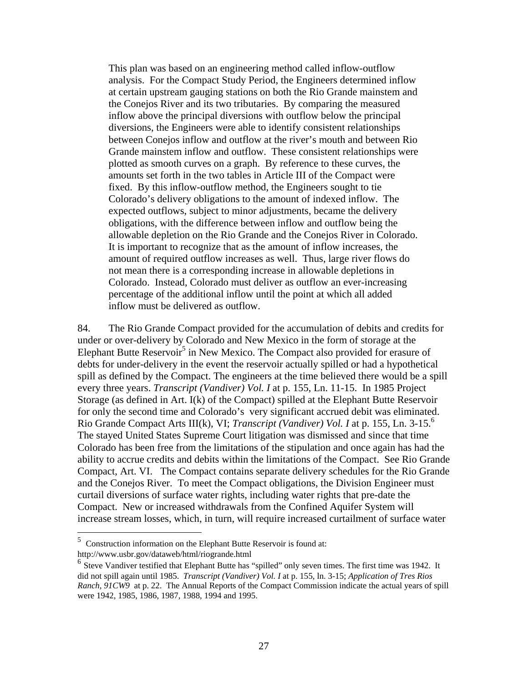This plan was based on an engineering method called inflow-outflow analysis. For the Compact Study Period, the Engineers determined inflow at certain upstream gauging stations on both the Rio Grande mainstem and the Conejos River and its two tributaries. By comparing the measured inflow above the principal diversions with outflow below the principal diversions, the Engineers were able to identify consistent relationships between Conejos inflow and outflow at the river's mouth and between Rio Grande mainstem inflow and outflow. These consistent relationships were plotted as smooth curves on a graph. By reference to these curves, the amounts set forth in the two tables in Article III of the Compact were fixed. By this inflow-outflow method, the Engineers sought to tie Colorado's delivery obligations to the amount of indexed inflow. The expected outflows, subject to minor adjustments, became the delivery obligations, with the difference between inflow and outflow being the allowable depletion on the Rio Grande and the Conejos River in Colorado. It is important to recognize that as the amount of inflow increases, the amount of required outflow increases as well. Thus, large river flows do not mean there is a corresponding increase in allowable depletions in Colorado. Instead, Colorado must deliver as outflow an ever-increasing percentage of the additional inflow until the point at which all added inflow must be delivered as outflow.

84. The Rio Grande Compact provided for the accumulation of debits and credits for under or over-delivery by Colorado and New Mexico in the form of storage at the Elephant Butte Reservoir<sup>5</sup> in New Mexico. The Compact also provided for erasure of debts for under-delivery in the event the reservoir actually spilled or had a hypothetical spill as defined by the Compact. The engineers at the time believed there would be a spill every three years. *Transcript (Vandiver) Vol. I* at p. 155, Ln. 11-15. In 1985 Project Storage (as defined in Art. I(k) of the Compact) spilled at the Elephant Butte Reservoir for only the second time and Colorado's very significant accrued debit was eliminated. Rio Grande Compact Arts III(k), VI; *Transcript (Vandiver) Vol. I* at p. 155, Ln. 3-15.6 The stayed United States Supreme Court litigation was dismissed and since that time Colorado has been free from the limitations of the stipulation and once again has had the ability to accrue credits and debits within the limitations of the Compact. See Rio Grande Compact, Art. VI. The Compact contains separate delivery schedules for the Rio Grande and the Conejos River. To meet the Compact obligations, the Division Engineer must curtail diversions of surface water rights, including water rights that pre-date the Compact. New or increased withdrawals from the Confined Aquifer System will increase stream losses, which, in turn, will require increased curtailment of surface water

<u>.</u>

 $5$  Construction information on the Elephant Butte Reservoir is found at: http://www.usbr.gov/dataweb/html/riogrande.html

 $<sup>6</sup>$  Steve Vandiver testified that Elephant Butte has "spilled" only seven times. The first time was 1942. It</sup> did not spill again until 1985. *Transcript (Vandiver) Vol. I* at p. 155, ln. 3-15; *Application of Tres Rios Ranch, 91CW9* at p. 22. The Annual Reports of the Compact Commission indicate the actual years of spill were 1942, 1985, 1986, 1987, 1988, 1994 and 1995.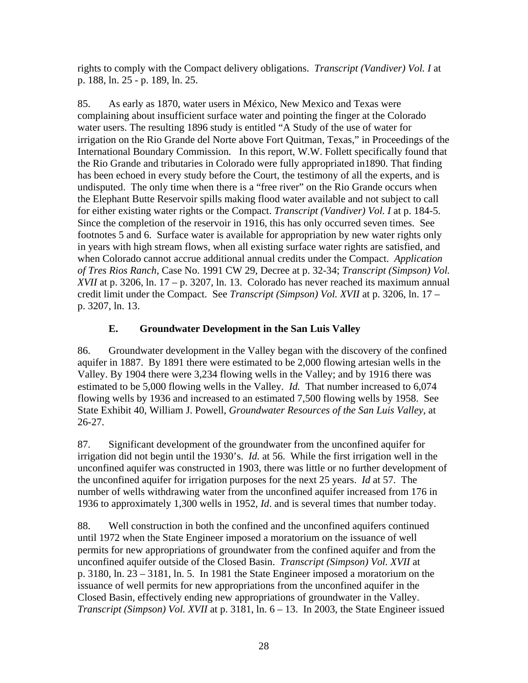rights to comply with the Compact delivery obligations. *Transcript (Vandiver) Vol. I* at p. 188, ln. 25 - p. 189, ln. 25.

85. As early as 1870, water users in México, New Mexico and Texas were complaining about insufficient surface water and pointing the finger at the Colorado water users. The resulting 1896 study is entitled "A Study of the use of water for irrigation on the Rio Grande del Norte above Fort Quitman, Texas," in Proceedings of the International Boundary Commission*.* In this report, W.W. Follett specifically found that the Rio Grande and tributaries in Colorado were fully appropriated in1890. That finding has been echoed in every study before the Court, the testimony of all the experts, and is undisputed. The only time when there is a "free river" on the Rio Grande occurs when the Elephant Butte Reservoir spills making flood water available and not subject to call for either existing water rights or the Compact. *Transcript (Vandiver) Vol. I* at p. 184-5. Since the completion of the reservoir in 1916, this has only occurred seven times. See footnotes 5 and 6. Surface water is available for appropriation by new water rights only in years with high stream flows, when all existing surface water rights are satisfied, and when Colorado cannot accrue additional annual credits under the Compact. *Application of Tres Rios Ranch*, Case No. 1991 CW 29, Decree at p. 32-34; *Transcript (Simpson) Vol. XVII* at p. 3206, ln. 17 – p. 3207, ln. 13. Colorado has never reached its maximum annual credit limit under the Compact. See *Transcript (Simpson) Vol. XVII* at p. 3206, ln. 17 – p. 3207, ln. 13.

## **E. Groundwater Development in the San Luis Valley**

86. Groundwater development in the Valley began with the discovery of the confined aquifer in 1887. By 1891 there were estimated to be 2,000 flowing artesian wells in the Valley. By 1904 there were 3,234 flowing wells in the Valley; and by 1916 there was estimated to be 5,000 flowing wells in the Valley. *Id.* That number increased to 6,074 flowing wells by 1936 and increased to an estimated 7,500 flowing wells by 1958. See State Exhibit 40, William J. Powell, *Groundwater Resources of the San Luis Valley,* at 26-27.

87. Significant development of the groundwater from the unconfined aquifer for irrigation did not begin until the 1930's. *Id.* at 56. While the first irrigation well in the unconfined aquifer was constructed in 1903, there was little or no further development of the unconfined aquifer for irrigation purposes for the next 25 years. *Id* at 57. The number of wells withdrawing water from the unconfined aquifer increased from 176 in 1936 to approximately 1,300 wells in 1952, *Id*. and is several times that number today.

88. Well construction in both the confined and the unconfined aquifers continued until 1972 when the State Engineer imposed a moratorium on the issuance of well permits for new appropriations of groundwater from the confined aquifer and from the unconfined aquifer outside of the Closed Basin. *Transcript (Simpson) Vol. XVII* at p. 3180, ln. 23 – 3181, ln. 5. In 1981 the State Engineer imposed a moratorium on the issuance of well permits for new appropriations from the unconfined aquifer in the Closed Basin, effectively ending new appropriations of groundwater in the Valley. *Transcript (Simpson) Vol. XVII* at p. 3181, ln.  $6 - 13$ . In 2003, the State Engineer issued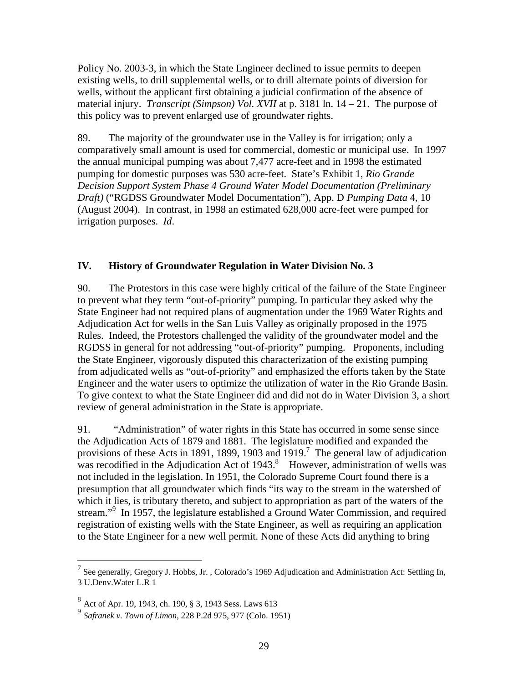Policy No. 2003-3, in which the State Engineer declined to issue permits to deepen existing wells, to drill supplemental wells, or to drill alternate points of diversion for wells, without the applicant first obtaining a judicial confirmation of the absence of material injury. *Transcript (Simpson) Vol. XVII* at p. 3181 ln. 14 – 21. The purpose of this policy was to prevent enlarged use of groundwater rights.

89. The majority of the groundwater use in the Valley is for irrigation; only a comparatively small amount is used for commercial, domestic or municipal use. In 1997 the annual municipal pumping was about 7,477 acre-feet and in 1998 the estimated pumping for domestic purposes was 530 acre-feet. State's Exhibit 1, *Rio Grande Decision Support System Phase 4 Ground Water Model Documentation (Preliminary Draft)* ("RGDSS Groundwater Model Documentation"), App. D *Pumping Data* 4, 10 (August 2004). In contrast, in 1998 an estimated 628,000 acre-feet were pumped for irrigation purposes. *Id*.

### **IV. History of Groundwater Regulation in Water Division No. 3**

90. The Protestors in this case were highly critical of the failure of the State Engineer to prevent what they term "out-of-priority" pumping. In particular they asked why the State Engineer had not required plans of augmentation under the 1969 Water Rights and Adjudication Act for wells in the San Luis Valley as originally proposed in the 1975 Rules. Indeed, the Protestors challenged the validity of the groundwater model and the RGDSS in general for not addressing "out-of-priority" pumping. Proponents, including the State Engineer, vigorously disputed this characterization of the existing pumping from adjudicated wells as "out-of-priority" and emphasized the efforts taken by the State Engineer and the water users to optimize the utilization of water in the Rio Grande Basin. To give context to what the State Engineer did and did not do in Water Division 3, a short review of general administration in the State is appropriate.

91. "Administration" of water rights in this State has occurred in some sense since the Adjudication Acts of 1879 and 1881. The legislature modified and expanded the provisions of these Acts in 1891, 1899, 1903 and 1919.<sup>7</sup> The general law of adjudication was recodified in the Adjudication Act of  $1943$ .<sup>8</sup> However, administration of wells was not included in the legislation. In 1951, the Colorado Supreme Court found there is a presumption that all groundwater which finds "its way to the stream in the watershed of which it lies, is tributary thereto, and subject to appropriation as part of the waters of the stream."<sup>9</sup> In 1957, the legislature established a Ground Water Commission, and required registration of existing wells with the State Engineer, as well as requiring an application to the State Engineer for a new well permit. None of these Acts did anything to bring

<sup>&</sup>lt;sup>7</sup> See generally, Gregory J. Hobbs, Jr., Colorado's 1969 Adjudication and Administration Act: Settling In, 3 U.Denv.Water L.R 1

<sup>8</sup> Act of Apr. 19, 1943, ch. 190, § 3, 1943 Sess. Laws 613

<sup>9</sup> *Safranek v. Town of Limon*, 228 P.2d 975, 977 (Colo. 1951)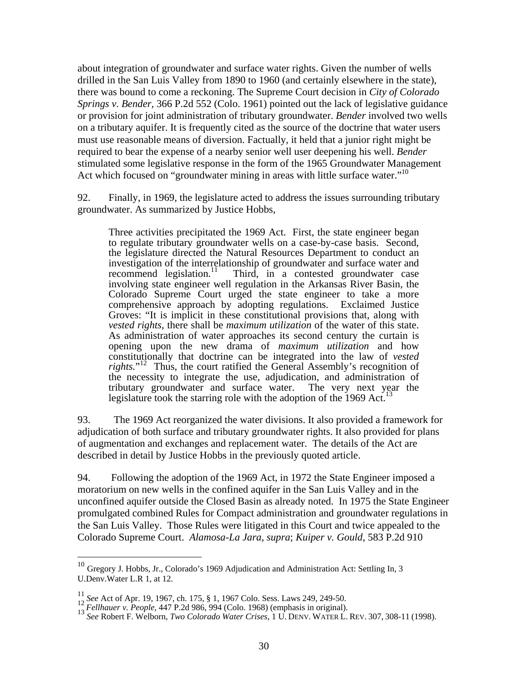about integration of groundwater and surface water rights. Given the number of wells drilled in the San Luis Valley from 1890 to 1960 (and certainly elsewhere in the state), there was bound to come a reckoning. The Supreme Court decision in *City of Colorado Springs v. Bender,* 366 P.2d 552 (Colo. 1961) pointed out the lack of legislative guidance or provision for joint administration of tributary groundwater. *Bender* involved two wells on a tributary aquifer. It is frequently cited as the source of the doctrine that water users must use reasonable means of diversion. Factually, it held that a junior right might be required to bear the expense of a nearby senior well user deepening his well. *Bender*  stimulated some legislative response in the form of the 1965 Groundwater Management Act which focused on "groundwater mining in areas with little surface water."<sup>10</sup>

92. Finally, in 1969, the legislature acted to address the issues surrounding tributary groundwater. As summarized by Justice Hobbs,

Three activities precipitated the 1969 Act. First, the state engineer began to regulate tributary groundwater wells on a case-by-case basis. Second, the legislature directed the Natural Resources Department to conduct an investigation of the interrelationship of groundwater and surface water and recommend legislation.<sup>11</sup> Third, in a contested groundwater case involving state engineer well regulation in the Arkansas River Basin, the Colorado Supreme Court urged the state engineer to take a more comprehensive approach by adopting regulations. Exclaimed Justice Groves: "It is implicit in these constitutional provisions that, along with *vested rights*, there shall be *maximum utilization* of the water of this state. As administration of water approaches its second century the curtain is opening upon the new drama of *maximum utilization* and how constitutionally that doctrine can be integrated into the law of *vested*  rights."<sup>12</sup> Thus, the court ratified the General Assembly's recognition of the necessity to integrate the use, adjudication, and administration of tributary groundwater and surface water. The very next year the legislature took the starring role with the adoption of the 1969 Act.<sup>13</sup>

93. The 1969 Act reorganized the water divisions. It also provided a framework for adjudication of both surface and tributary groundwater rights. It also provided for plans of augmentation and exchanges and replacement water. The details of the Act are described in detail by Justice Hobbs in the previously quoted article.

94. Following the adoption of the 1969 Act, in 1972 the State Engineer imposed a moratorium on new wells in the confined aquifer in the San Luis Valley and in the unconfined aquifer outside the Closed Basin as already noted. In 1975 the State Engineer promulgated combined Rules for Compact administration and groundwater regulations in the San Luis Valley. Those Rules were litigated in this Court and twice appealed to the Colorado Supreme Court. *Alamosa-La Jara*, *supra*; *Kuiper v. Gould*, 583 P.2d 910

 $\overline{a}$ 

 $^{10}$  Gregory J. Hobbs, Jr., Colorado's 1969 Adjudication and Administration Act: Settling In, 3 U.Denv.Water L.R 1, at 12.

<sup>&</sup>lt;sup>11</sup> See Act of Apr. 19, 1967, ch. 175, § 1, 1967 Colo. Sess. Laws 249, 249-50.<br><sup>12</sup> Fellhauer v. People, 447 P.2d 986, 994 (Colo. 1968) (emphasis in original).<br><sup>13</sup> See Robert F. Welborn, *Two Colorado Water Crises*, 1 U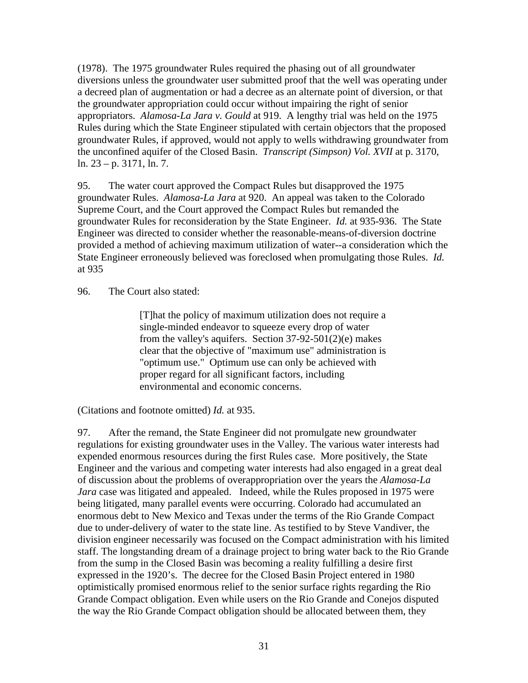(1978). The 1975 groundwater Rules required the phasing out of all groundwater diversions unless the groundwater user submitted proof that the well was operating under a decreed plan of augmentation or had a decree as an alternate point of diversion, or that the groundwater appropriation could occur without impairing the right of senior appropriators. *Alamosa-La Jara v. Gould* at 919. A lengthy trial was held on the 1975 Rules during which the State Engineer stipulated with certain objectors that the proposed groundwater Rules, if approved, would not apply to wells withdrawing groundwater from the unconfined aquifer of the Closed Basin. *Transcript (Simpson) Vol. XVII* at p. 3170, ln. 23 – p. 3171, ln. 7.

95. The water court approved the Compact Rules but disapproved the 1975 groundwater Rules. *Alamosa-La Jara* at 920. An appeal was taken to the Colorado Supreme Court, and the Court approved the Compact Rules but remanded the groundwater Rules for reconsideration by the State Engineer. *Id.* at 935-936. The State Engineer was directed to consider whether the reasonable-means-of-diversion doctrine provided a method of achieving maximum utilization of water--a consideration which the State Engineer erroneously believed was foreclosed when promulgating those Rules. *Id.* at 935

### 96. The Court also stated:

[T]hat the policy of maximum utilization does not require a single-minded endeavor to squeeze every drop of water from the valley's aquifers. Section 37-92-501(2)(e) makes clear that the objective of "maximum use" administration is "optimum use." Optimum use can only be achieved with proper regard for all significant factors, including environmental and economic concerns.

(Citations and footnote omitted) *Id.* at 935.

97. After the remand, the State Engineer did not promulgate new groundwater regulations for existing groundwater uses in the Valley. The various water interests had expended enormous resources during the first Rules case. More positively, the State Engineer and the various and competing water interests had also engaged in a great deal of discussion about the problems of overappropriation over the years the *Alamosa-La Jara* case was litigated and appealed. Indeed, while the Rules proposed in 1975 were being litigated, many parallel events were occurring. Colorado had accumulated an enormous debt to New Mexico and Texas under the terms of the Rio Grande Compact due to under-delivery of water to the state line. As testified to by Steve Vandiver, the division engineer necessarily was focused on the Compact administration with his limited staff. The longstanding dream of a drainage project to bring water back to the Rio Grande from the sump in the Closed Basin was becoming a reality fulfilling a desire first expressed in the 1920's. The decree for the Closed Basin Project entered in 1980 optimistically promised enormous relief to the senior surface rights regarding the Rio Grande Compact obligation. Even while users on the Rio Grande and Conejos disputed the way the Rio Grande Compact obligation should be allocated between them, they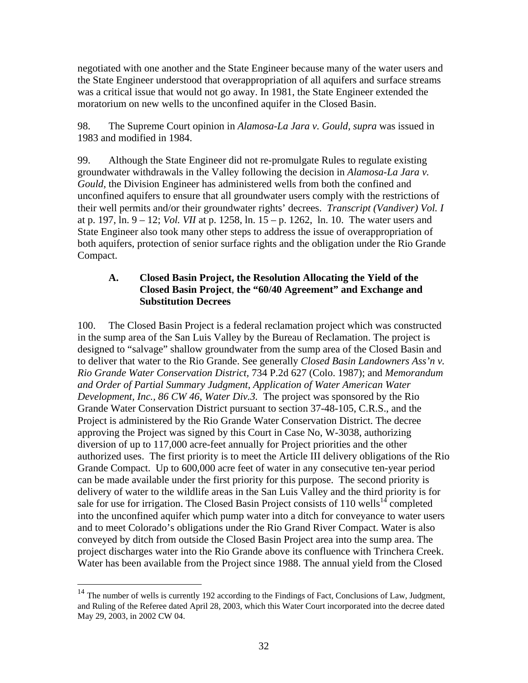negotiated with one another and the State Engineer because many of the water users and the State Engineer understood that overappropriation of all aquifers and surface streams was a critical issue that would not go away. In 1981, the State Engineer extended the moratorium on new wells to the unconfined aquifer in the Closed Basin.

98. The Supreme Court opinion in *Alamosa-La Jara v. Gould, supra* was issued in 1983 and modified in 1984.

99. Although the State Engineer did not re-promulgate Rules to regulate existing groundwater withdrawals in the Valley following the decision in *Alamosa-La Jara v. Gould,* the Division Engineer has administered wells from both the confined and unconfined aquifers to ensure that all groundwater users comply with the restrictions of their well permits and/or their groundwater rights' decrees. *Transcript (Vandiver) Vol. I*  at p. 197, ln. 9 – 12; *Vol. VII* at p. 1258, ln. 15 – p. 1262, ln. 10. The water users and State Engineer also took many other steps to address the issue of overappropriation of both aquifers, protection of senior surface rights and the obligation under the Rio Grande Compact.

### **A. Closed Basin Project, the Resolution Allocating the Yield of the Closed Basin Project**, **the "60/40 Agreement" and Exchange and Substitution Decrees**

100. The Closed Basin Project is a federal reclamation project which was constructed in the sump area of the San Luis Valley by the Bureau of Reclamation. The project is designed to "salvage" shallow groundwater from the sump area of the Closed Basin and to deliver that water to the Rio Grande. See generally *Closed Basin Landowners Ass'n v. Rio Grande Water Conservation District,* 734 P.2d 627 (Colo. 1987); and *Memorandum and Order of Partial Summary Judgment*, *Application of Water American Water Development, Inc., 86 CW 46, Water Div.3.* The project was sponsored by the Rio Grande Water Conservation District pursuant to section 37-48-105, C.R.S., and the Project is administered by the Rio Grande Water Conservation District. The decree approving the Project was signed by this Court in Case No, W-3038, authorizing diversion of up to 117,000 acre-feet annually for Project priorities and the other authorized uses. The first priority is to meet the Article III delivery obligations of the Rio Grande Compact. Up to 600,000 acre feet of water in any consecutive ten-year period can be made available under the first priority for this purpose. The second priority is delivery of water to the wildlife areas in the San Luis Valley and the third priority is for sale for use for irrigation. The Closed Basin Project consists of  $110$  wells<sup>14</sup> completed into the unconfined aquifer which pump water into a ditch for conveyance to water users and to meet Colorado's obligations under the Rio Grand River Compact. Water is also conveyed by ditch from outside the Closed Basin Project area into the sump area. The project discharges water into the Rio Grande above its confluence with Trinchera Creek. Water has been available from the Project since 1988. The annual yield from the Closed

1

 $14$  The number of wells is currently 192 according to the Findings of Fact, Conclusions of Law, Judgment, and Ruling of the Referee dated April 28, 2003, which this Water Court incorporated into the decree dated May 29, 2003, in 2002 CW 04.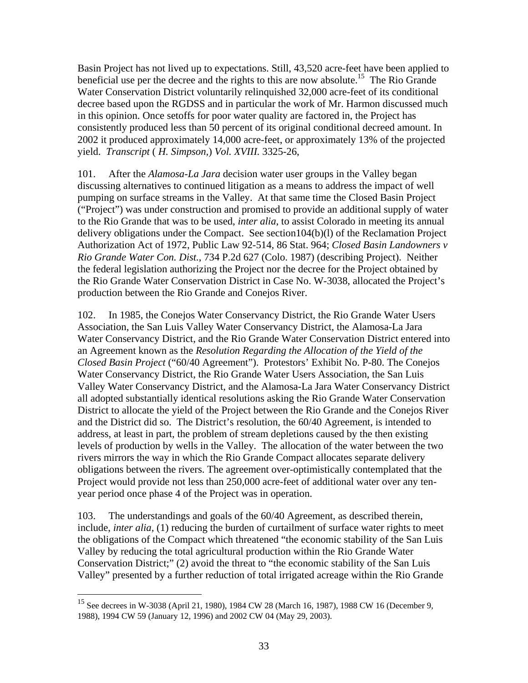Basin Project has not lived up to expectations. Still, 43,520 acre-feet have been applied to beneficial use per the decree and the rights to this are now absolute.<sup>15</sup> The Rio Grande Water Conservation District voluntarily relinquished 32,000 acre-feet of its conditional decree based upon the RGDSS and in particular the work of Mr. Harmon discussed much in this opinion. Once setoffs for poor water quality are factored in, the Project has consistently produced less than 50 percent of its original conditional decreed amount. In 2002 it produced approximately 14,000 acre-feet, or approximately 13% of the projected yield. *Transcript* ( *H. Simpson,*) *Vol. XVIII.* 3325-26,

101. After the *Alamosa-La Jara* decision water user groups in the Valley began discussing alternatives to continued litigation as a means to address the impact of well pumping on surface streams in the Valley. At that same time the Closed Basin Project ("Project") was under construction and promised to provide an additional supply of water to the Rio Grande that was to be used, *inter alia*, to assist Colorado in meeting its annual delivery obligations under the Compact. See section104(b)(l) of the Reclamation Project Authorization Act of 1972, Public Law 92-514, 86 Stat. 964; *Closed Basin Landowners v Rio Grande Water Con. Dist.*, 734 P.2d 627 (Colo. 1987) (describing Project). Neither the federal legislation authorizing the Project nor the decree for the Project obtained by the Rio Grande Water Conservation District in Case No. W-3038, allocated the Project's production between the Rio Grande and Conejos River.

102. In 1985, the Conejos Water Conservancy District, the Rio Grande Water Users Association, the San Luis Valley Water Conservancy District, the Alamosa-La Jara Water Conservancy District, and the Rio Grande Water Conservation District entered into an Agreement known as the *Resolution Regarding the Allocation of the Yield of the Closed Basin Project* ("60/40 Agreement"). Protestors' Exhibit No. P-80. The Conejos Water Conservancy District, the Rio Grande Water Users Association, the San Luis Valley Water Conservancy District, and the Alamosa-La Jara Water Conservancy District all adopted substantially identical resolutions asking the Rio Grande Water Conservation District to allocate the yield of the Project between the Rio Grande and the Conejos River and the District did so. The District's resolution, the 60/40 Agreement, is intended to address, at least in part, the problem of stream depletions caused by the then existing levels of production by wells in the Valley. The allocation of the water between the two rivers mirrors the way in which the Rio Grande Compact allocates separate delivery obligations between the rivers. The agreement over-optimistically contemplated that the Project would provide not less than 250,000 acre-feet of additional water over any tenyear period once phase 4 of the Project was in operation.

103. The understandings and goals of the 60/40 Agreement, as described therein, include, *inter alia,* (1) reducing the burden of curtailment of surface water rights to meet the obligations of the Compact which threatened "the economic stability of the San Luis Valley by reducing the total agricultural production within the Rio Grande Water Conservation District;" (2) avoid the threat to "the economic stability of the San Luis Valley" presented by a further reduction of total irrigated acreage within the Rio Grande

 $\overline{a}$ 

<sup>&</sup>lt;sup>15</sup> See decrees in W-3038 (April 21, 1980), 1984 CW 28 (March 16, 1987), 1988 CW 16 (December 9, 1988), 1994 CW 59 (January 12, 1996) and 2002 CW 04 (May 29, 2003).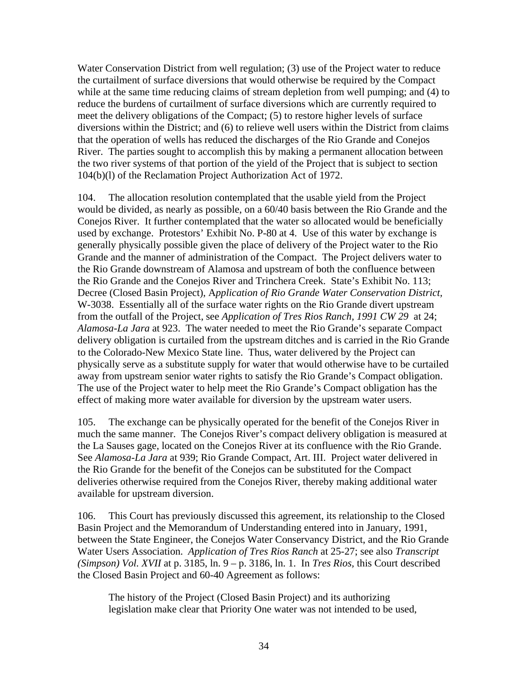Water Conservation District from well regulation; (3) use of the Project water to reduce the curtailment of surface diversions that would otherwise be required by the Compact while at the same time reducing claims of stream depletion from well pumping; and (4) to reduce the burdens of curtailment of surface diversions which are currently required to meet the delivery obligations of the Compact; (5) to restore higher levels of surface diversions within the District; and (6) to relieve well users within the District from claims that the operation of wells has reduced the discharges of the Rio Grande and Conejos River. The parties sought to accomplish this by making a permanent allocation between the two river systems of that portion of the yield of the Project that is subject to section 104(b)(l) of the Reclamation Project Authorization Act of 1972.

104. The allocation resolution contemplated that the usable yield from the Project would be divided, as nearly as possible, on a 60/40 basis between the Rio Grande and the Conejos River. It further contemplated that the water so allocated would be beneficially used by exchange. Protestors' Exhibit No. P-80 at 4. Use of this water by exchange is generally physically possible given the place of delivery of the Project water to the Rio Grande and the manner of administration of the Compact. The Project delivers water to the Rio Grande downstream of Alamosa and upstream of both the confluence between the Rio Grande and the Conejos River and Trinchera Creek. State's Exhibit No. 113; Decree (Closed Basin Project), A*pplication of Rio Grande Water Conservation District,*  W-3038. Essentially all of the surface water rights on the Rio Grande divert upstream from the outfall of the Project, see *Application of Tres Rios Ranch, 1991 CW 29* at 24; *Alamosa-La Jara* at 923. The water needed to meet the Rio Grande's separate Compact delivery obligation is curtailed from the upstream ditches and is carried in the Rio Grande to the Colorado-New Mexico State line. Thus, water delivered by the Project can physically serve as a substitute supply for water that would otherwise have to be curtailed away from upstream senior water rights to satisfy the Rio Grande's Compact obligation. The use of the Project water to help meet the Rio Grande's Compact obligation has the effect of making more water available for diversion by the upstream water users.

105. The exchange can be physically operated for the benefit of the Conejos River in much the same manner. The Conejos River's compact delivery obligation is measured at the La Sauses gage, located on the Conejos River at its confluence with the Rio Grande. See *Alamosa-La Jara* at 939; Rio Grande Compact, Art. III. Project water delivered in the Rio Grande for the benefit of the Conejos can be substituted for the Compact deliveries otherwise required from the Conejos River, thereby making additional water available for upstream diversion.

106. This Court has previously discussed this agreement, its relationship to the Closed Basin Project and the Memorandum of Understanding entered into in January, 1991, between the State Engineer, the Conejos Water Conservancy District, and the Rio Grande Water Users Association. *Application of Tres Rios Ranch* at 25-27; see also *Transcript (Simpson) Vol. XVII* at p. 3185, ln. 9 – p. 3186, ln. 1. In *Tres Rios,* this Court described the Closed Basin Project and 60-40 Agreement as follows:

The history of the Project (Closed Basin Project) and its authorizing legislation make clear that Priority One water was not intended to be used,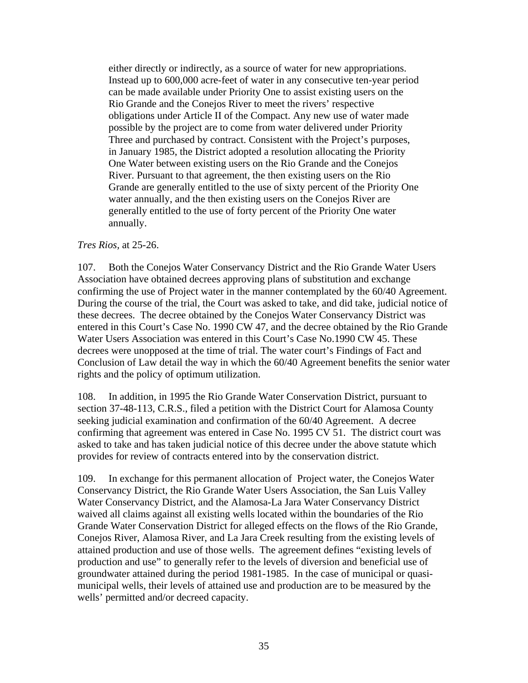either directly or indirectly, as a source of water for new appropriations. Instead up to 600,000 acre-feet of water in any consecutive ten-year period can be made available under Priority One to assist existing users on the Rio Grande and the Conejos River to meet the rivers' respective obligations under Article II of the Compact. Any new use of water made possible by the project are to come from water delivered under Priority Three and purchased by contract. Consistent with the Project's purposes, in January 1985, the District adopted a resolution allocating the Priority One Water between existing users on the Rio Grande and the Conejos River. Pursuant to that agreement, the then existing users on the Rio Grande are generally entitled to the use of sixty percent of the Priority One water annually, and the then existing users on the Conejos River are generally entitled to the use of forty percent of the Priority One water annually.

### *Tres Rios,* at 25-26.

107. Both the Conejos Water Conservancy District and the Rio Grande Water Users Association have obtained decrees approving plans of substitution and exchange confirming the use of Project water in the manner contemplated by the 60/40 Agreement. During the course of the trial, the Court was asked to take, and did take, judicial notice of these decrees. The decree obtained by the Conejos Water Conservancy District was entered in this Court's Case No. 1990 CW 47, and the decree obtained by the Rio Grande Water Users Association was entered in this Court's Case No.1990 CW 45. These decrees were unopposed at the time of trial. The water court's Findings of Fact and Conclusion of Law detail the way in which the 60/40 Agreement benefits the senior water rights and the policy of optimum utilization.

108. In addition, in 1995 the Rio Grande Water Conservation District, pursuant to section 37-48-113, C.R.S., filed a petition with the District Court for Alamosa County seeking judicial examination and confirmation of the 60/40 Agreement. A decree confirming that agreement was entered in Case No. 1995 CV 51. The district court was asked to take and has taken judicial notice of this decree under the above statute which provides for review of contracts entered into by the conservation district.

109. In exchange for this permanent allocation of Project water, the Conejos Water Conservancy District, the Rio Grande Water Users Association, the San Luis Valley Water Conservancy District, and the Alamosa-La Jara Water Conservancy District waived all claims against all existing wells located within the boundaries of the Rio Grande Water Conservation District for alleged effects on the flows of the Rio Grande, Conejos River, Alamosa River, and La Jara Creek resulting from the existing levels of attained production and use of those wells. The agreement defines "existing levels of production and use" to generally refer to the levels of diversion and beneficial use of groundwater attained during the period 1981-1985. In the case of municipal or quasimunicipal wells, their levels of attained use and production are to be measured by the wells' permitted and/or decreed capacity.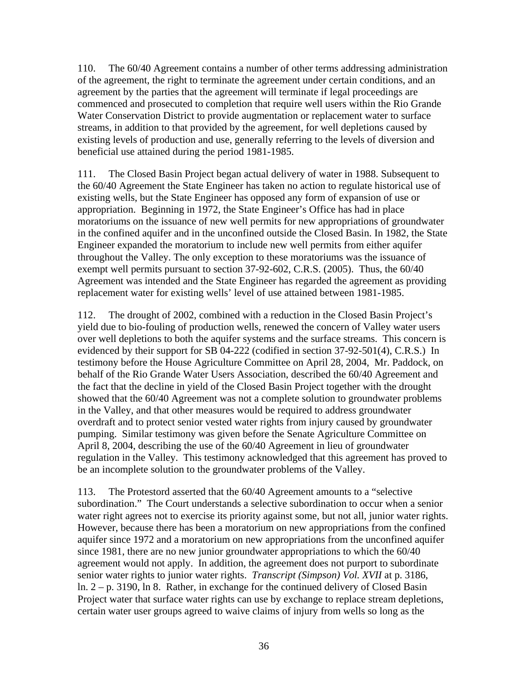110. The 60/40 Agreement contains a number of other terms addressing administration of the agreement, the right to terminate the agreement under certain conditions, and an agreement by the parties that the agreement will terminate if legal proceedings are commenced and prosecuted to completion that require well users within the Rio Grande Water Conservation District to provide augmentation or replacement water to surface streams, in addition to that provided by the agreement, for well depletions caused by existing levels of production and use, generally referring to the levels of diversion and beneficial use attained during the period 1981-1985.

111. The Closed Basin Project began actual delivery of water in 1988. Subsequent to the 60/40 Agreement the State Engineer has taken no action to regulate historical use of existing wells, but the State Engineer has opposed any form of expansion of use or appropriation. Beginning in 1972, the State Engineer's Office has had in place moratoriums on the issuance of new well permits for new appropriations of groundwater in the confined aquifer and in the unconfined outside the Closed Basin. In 1982, the State Engineer expanded the moratorium to include new well permits from either aquifer throughout the Valley. The only exception to these moratoriums was the issuance of exempt well permits pursuant to section 37-92-602, C.R.S. (2005). Thus, the 60/40 Agreement was intended and the State Engineer has regarded the agreement as providing replacement water for existing wells' level of use attained between 1981-1985.

112. The drought of 2002, combined with a reduction in the Closed Basin Project's yield due to bio-fouling of production wells, renewed the concern of Valley water users over well depletions to both the aquifer systems and the surface streams. This concern is evidenced by their support for SB 04-222 (codified in section 37-92-501(4), C.R.S.) In testimony before the House Agriculture Committee on April 28, 2004, Mr. Paddock, on behalf of the Rio Grande Water Users Association, described the 60/40 Agreement and the fact that the decline in yield of the Closed Basin Project together with the drought showed that the 60/40 Agreement was not a complete solution to groundwater problems in the Valley, and that other measures would be required to address groundwater overdraft and to protect senior vested water rights from injury caused by groundwater pumping. Similar testimony was given before the Senate Agriculture Committee on April 8, 2004, describing the use of the 60/40 Agreement in lieu of groundwater regulation in the Valley. This testimony acknowledged that this agreement has proved to be an incomplete solution to the groundwater problems of the Valley.

113. The Protestord asserted that the 60/40 Agreement amounts to a "selective subordination." The Court understands a selective subordination to occur when a senior water right agrees not to exercise its priority against some, but not all, junior water rights. However, because there has been a moratorium on new appropriations from the confined aquifer since 1972 and a moratorium on new appropriations from the unconfined aquifer since 1981, there are no new junior groundwater appropriations to which the 60/40 agreement would not apply. In addition, the agreement does not purport to subordinate senior water rights to junior water rights. *Transcript (Simpson) Vol. XVII* at p. 3186, ln. 2 – p. 3190, ln 8. Rather, in exchange for the continued delivery of Closed Basin Project water that surface water rights can use by exchange to replace stream depletions, certain water user groups agreed to waive claims of injury from wells so long as the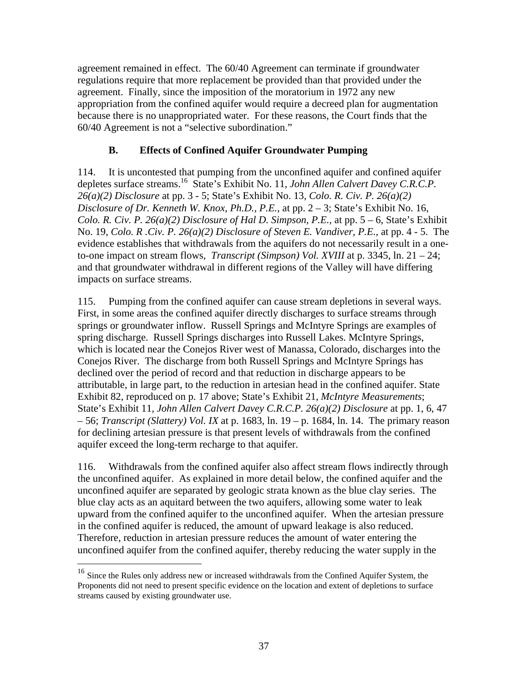agreement remained in effect. The 60/40 Agreement can terminate if groundwater regulations require that more replacement be provided than that provided under the agreement. Finally, since the imposition of the moratorium in 1972 any new appropriation from the confined aquifer would require a decreed plan for augmentation because there is no unappropriated water. For these reasons, the Court finds that the 60/40 Agreement is not a "selective subordination."

## **B. Effects of Confined Aquifer Groundwater Pumping**

114. It is uncontested that pumping from the unconfined aquifer and confined aquifer depletes surface streams.16 State's Exhibit No. 11*, John Allen Calvert Davey C.R.C.P. 26(a)(2) Disclosure* at pp. 3 - 5; State's Exhibit No. 13, *Colo. R. Civ. P. 26(a)(2) Disclosure of Dr. Kenneth W. Knox, Ph.D., P.E.,* at pp. 2 – 3; State's Exhibit No. 16, *Colo. R. Civ. P. 26(a)(2) Disclosure of Hal D. Simpson, P.E.,* at pp. 5 – 6, State's Exhibit No. 19, *Colo. R .Civ. P. 26(a)(2) Disclosure of Steven E. Vandiver, P.E.,* at pp. 4 - 5. The evidence establishes that withdrawals from the aquifers do not necessarily result in a oneto-one impact on stream flows, *Transcript (Simpson) Vol. XVIII* at p. 3345, ln. 21 – 24; and that groundwater withdrawal in different regions of the Valley will have differing impacts on surface streams.

115. Pumping from the confined aquifer can cause stream depletions in several ways. First, in some areas the confined aquifer directly discharges to surface streams through springs or groundwater inflow. Russell Springs and McIntyre Springs are examples of spring discharge. Russell Springs discharges into Russell Lakes. McIntyre Springs, which is located near the Conejos River west of Manassa, Colorado, discharges into the Conejos River. The discharge from both Russell Springs and McIntyre Springs has declined over the period of record and that reduction in discharge appears to be attributable, in large part, to the reduction in artesian head in the confined aquifer. State Exhibit 82, reproduced on p. 17 above; State's Exhibit 21, *McIntyre Measurements*; State's Exhibit 11*, John Allen Calvert Davey C.R.C.P. 26(a)(2) Disclosure* at pp. 1, 6, 47 – 56; *Transcript (Slattery) Vol. IX* at p. 1683, ln. 19 – p. 1684, ln. 14. The primary reason for declining artesian pressure is that present levels of withdrawals from the confined aquifer exceed the long-term recharge to that aquifer.

116. Withdrawals from the confined aquifer also affect stream flows indirectly through the unconfined aquifer. As explained in more detail below, the confined aquifer and the unconfined aquifer are separated by geologic strata known as the blue clay series. The blue clay acts as an aquitard between the two aquifers, allowing some water to leak upward from the confined aquifer to the unconfined aquifer. When the artesian pressure in the confined aquifer is reduced, the amount of upward leakage is also reduced. Therefore, reduction in artesian pressure reduces the amount of water entering the unconfined aquifer from the confined aquifer, thereby reducing the water supply in the

<u>.</u>

<sup>&</sup>lt;sup>16</sup> Since the Rules only address new or increased withdrawals from the Confined Aquifer System, the Proponents did not need to present specific evidence on the location and extent of depletions to surface streams caused by existing groundwater use.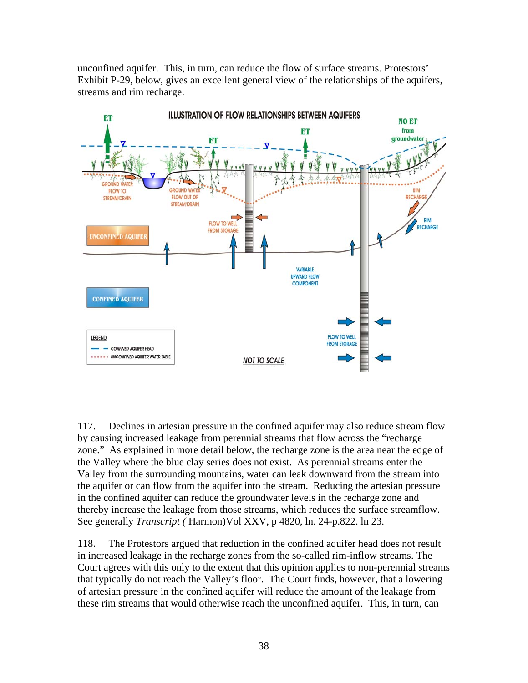unconfined aquifer. This, in turn, can reduce the flow of surface streams. Protestors' Exhibit P-29, below, gives an excellent general view of the relationships of the aquifers, streams and rim recharge.



117. Declines in artesian pressure in the confined aquifer may also reduce stream flow by causing increased leakage from perennial streams that flow across the "recharge zone." As explained in more detail below, the recharge zone is the area near the edge of the Valley where the blue clay series does not exist. As perennial streams enter the Valley from the surrounding mountains, water can leak downward from the stream into the aquifer or can flow from the aquifer into the stream. Reducing the artesian pressure in the confined aquifer can reduce the groundwater levels in the recharge zone and thereby increase the leakage from those streams, which reduces the surface streamflow. See generally *Transcript (* Harmon)Vol XXV, p 4820, ln. 24-p.822. ln 23.

118. The Protestors argued that reduction in the confined aquifer head does not result in increased leakage in the recharge zones from the so-called rim-inflow streams. The Court agrees with this only to the extent that this opinion applies to non-perennial streams that typically do not reach the Valley's floor. The Court finds, however, that a lowering of artesian pressure in the confined aquifer will reduce the amount of the leakage from these rim streams that would otherwise reach the unconfined aquifer. This, in turn, can